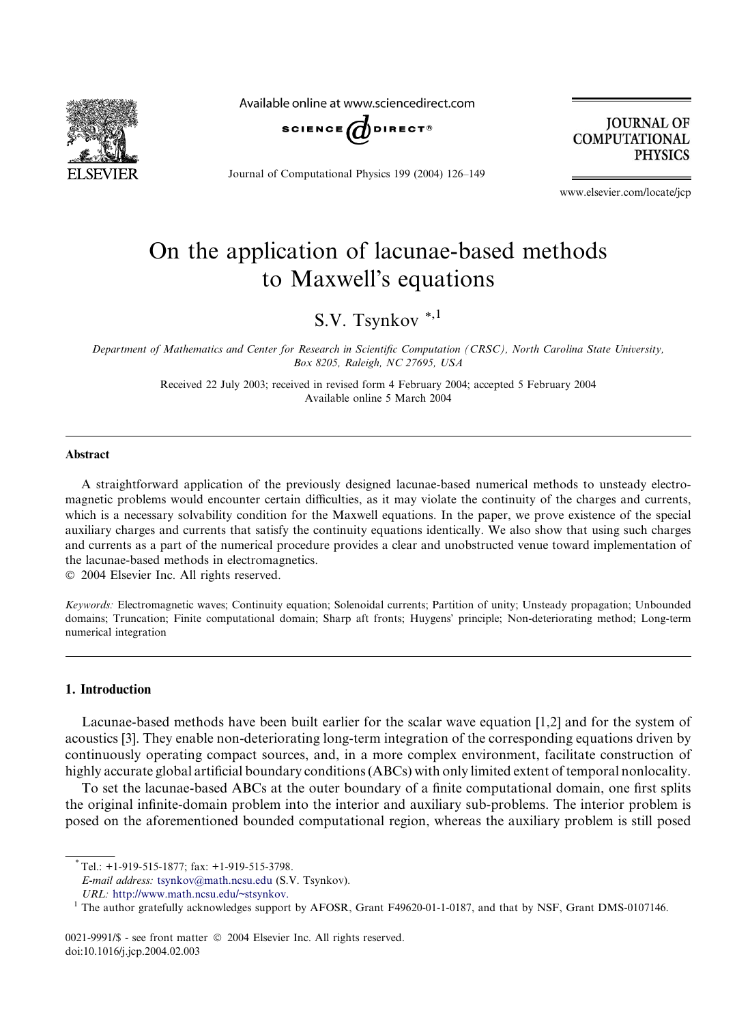

Available online at www.sciencedirect.com



Journal of Computational Physics 199 (2004) 126–149

**JOURNAL OF COMPUTATIONAL PHYSICS** 

www.elsevier.com/locate/jcp

# On the application of lacunae-based methods to Maxwell's equations

S.V. Tsynkov \*,1

Department of Mathematics and Center for Research in Scientific Computation (CRSC), North Carolina State University, Box 8205, Raleigh, NC 27695, USA

> Received 22 July 2003; received in revised form 4 February 2004; accepted 5 February 2004 Available online 5 March 2004

### Abstract

A straightforward application of the previously designed lacunae-based numerical methods to unsteady electromagnetic problems would encounter certain difficulties, as it may violate the continuity of the charges and currents, which is a necessary solvability condition for the Maxwell equations. In the paper, we prove existence of the special auxiliary charges and currents that satisfy the continuity equations identically. We also show that using such charges and currents as a part of the numerical procedure provides a clear and unobstructed venue toward implementation of the lacunae-based methods in electromagnetics.

2004 Elsevier Inc. All rights reserved.

Keywords: Electromagnetic waves; Continuity equation; Solenoidal currents; Partition of unity; Unsteady propagation; Unbounded domains; Truncation; Finite computational domain; Sharp aft fronts; Huygens' principle; Non-deteriorating method; Long-term numerical integration

## 1. Introduction

Lacunae-based methods have been built earlier for the scalar wave equation [1,2] and for the system of acoustics [3]. They enable non-deteriorating long-term integration of the corresponding equations driven by continuously operating compact sources, and, in a more complex environment, facilitate construction of highly accurate global artificial boundary conditions (ABCs) with only limited extent of temporal nonlocality.

To set the lacunae-based ABCs at the outer boundary of a finite computational domain, one first splits the original infinite-domain problem into the interior and auxiliary sub-problems. The interior problem is posed on the aforementioned bounded computational region, whereas the auxiliary problem is still posed

<sup>\*</sup>Tel.: +1-919-515-1877; fax: +1-919-515-3798.

E-mail address: [tsynkov@math.ncsu.edu](mail to: tsynkov@math.ncsu.edu) (S.V. Tsynkov).

URL: [http://www.math.ncsu.edu/~stsynkov.](http://www.math.ncsu.edu/~stsynkov)

<sup>&</sup>lt;sup>1</sup> The author gratefully acknowledges support by AFOSR, Grant F49620-01-1-0187, and that by NSF, Grant DMS-0107146.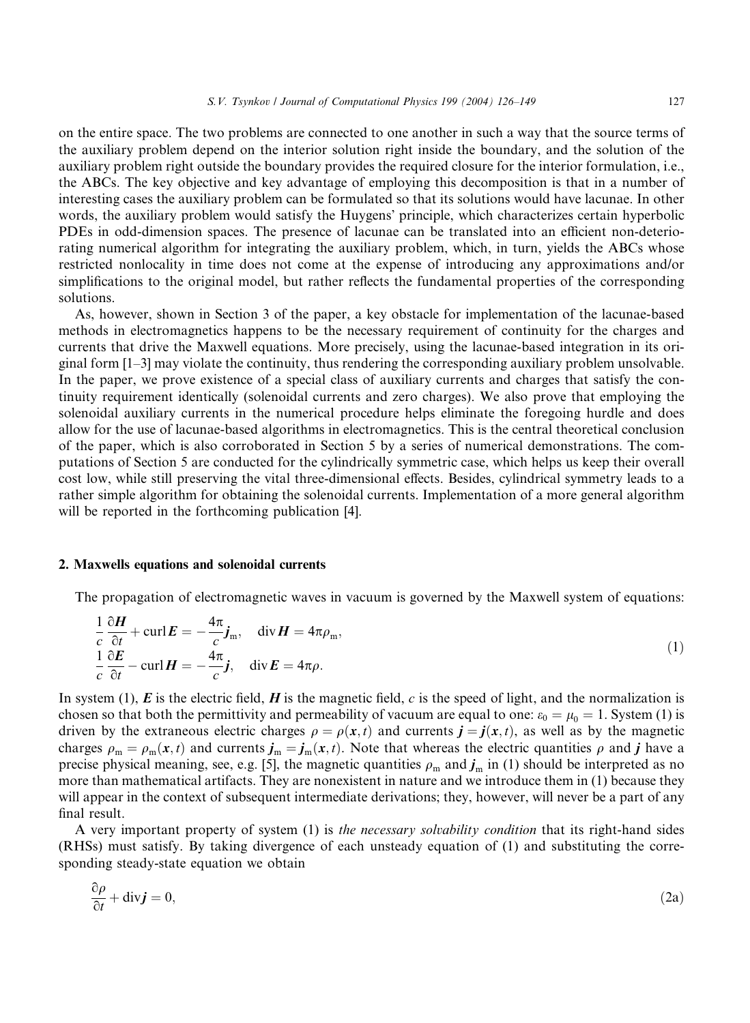on the entire space. The two problems are connected to one another in such a way that the source terms of the auxiliary problem depend on the interior solution right inside the boundary, and the solution of the auxiliary problem right outside the boundary provides the required closure for the interior formulation, i.e., the ABCs. The key objective and key advantage of employing this decomposition is that in a number of interesting cases the auxiliary problem can be formulated so that its solutions would have lacunae. In other words, the auxiliary problem would satisfy the Huygens' principle, which characterizes certain hyperbolic PDEs in odd-dimension spaces. The presence of lacunae can be translated into an efficient non-deteriorating numerical algorithm for integrating the auxiliary problem, which, in turn, yields the ABCs whose restricted nonlocality in time does not come at the expense of introducing any approximations and/or simplifications to the original model, but rather reflects the fundamental properties of the corresponding solutions.

As, however, shown in Section 3 of the paper, a key obstacle for implementation of the lacunae-based methods in electromagnetics happens to be the necessary requirement of continuity for the charges and currents that drive the Maxwell equations. More precisely, using the lacunae-based integration in its original form [1–3] may violate the continuity, thus rendering the corresponding auxiliary problem unsolvable. In the paper, we prove existence of a special class of auxiliary currents and charges that satisfy the continuity requirement identically (solenoidal currents and zero charges). We also prove that employing the solenoidal auxiliary currents in the numerical procedure helps eliminate the foregoing hurdle and does allow for the use of lacunae-based algorithms in electromagnetics. This is the central theoretical conclusion of the paper, which is also corroborated in Section 5 by a series of numerical demonstrations. The computations of Section 5 are conducted for the cylindrically symmetric case, which helps us keep their overall cost low, while still preserving the vital three-dimensional effects. Besides, cylindrical symmetry leads to a rather simple algorithm for obtaining the solenoidal currents. Implementation of a more general algorithm will be reported in the forthcoming publication [4].

## 2. Maxwells equations and solenoidal currents

The propagation of electromagnetic waves in vacuum is governed by the Maxwell system of equations:

$$
\frac{1}{c} \frac{\partial H}{\partial t} + \text{curl} E = -\frac{4\pi}{c} \mathbf{j}_{m}, \quad \text{div} \, H = 4\pi \rho_{m}, \n\frac{1}{c} \frac{\partial E}{\partial t} - \text{curl} \, H = -\frac{4\pi}{c} \mathbf{j}, \quad \text{div} \, E = 4\pi \rho.
$$
\n(1)

In system (1), E is the electric field, H is the magnetic field, c is the speed of light, and the normalization is chosen so that both the permittivity and permeability of vacuum are equal to one:  $\varepsilon_0 = \mu_0 = 1$ . System (1) is driven by the extraneous electric charges  $\rho = \rho(x, t)$  and currents  $\mathbf{j} = \mathbf{j}(x, t)$ , as well as by the magnetic charges  $\rho_m = \rho_m(x, t)$  and currents  $j_m = j_m(x, t)$ . Note that whereas the electric quantities  $\rho$  and j have a precise physical meaning, see, e.g. [5], the magnetic quantities  $\rho_m$  and  $j_m$  in (1) should be interpreted as no more than mathematical artifacts. They are nonexistent in nature and we introduce them in (1) because they will appear in the context of subsequent intermediate derivations; they, however, will never be a part of any final result.

A very important property of system (1) is the necessary solvability condition that its right-hand sides (RHSs) must satisfy. By taking divergence of each unsteady equation of (1) and substituting the corresponding steady-state equation we obtain

$$
\frac{\partial \rho}{\partial t} + \text{div} \mathbf{j} = 0,\tag{2a}
$$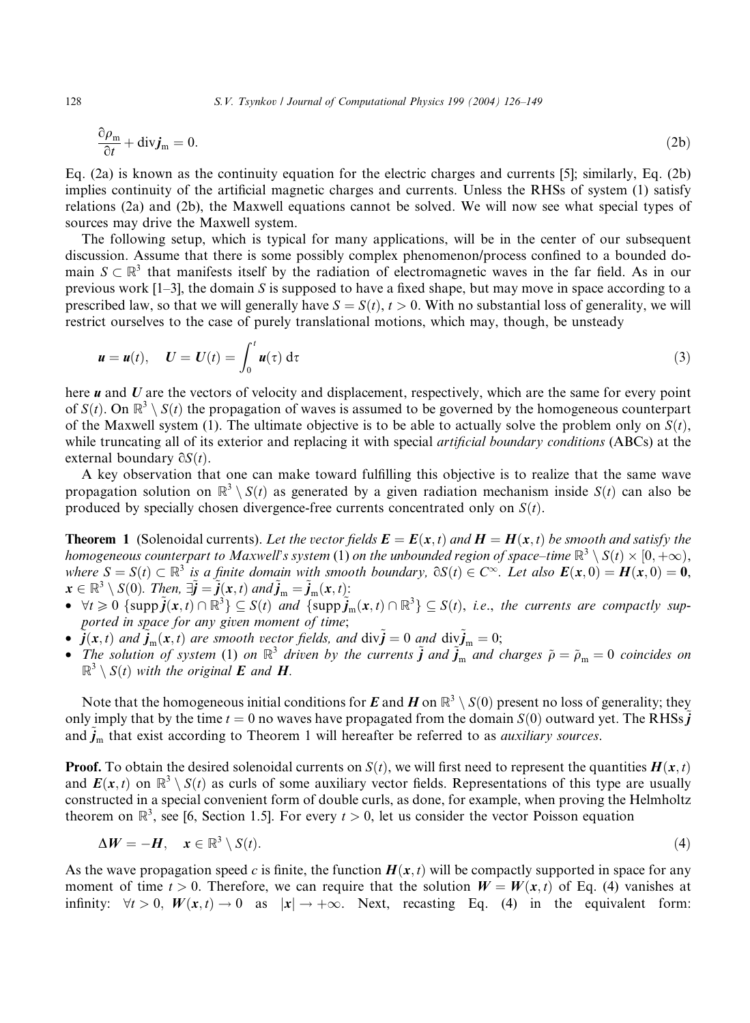$$
\frac{\partial \rho_{\mathbf{m}}}{\partial t} + \text{div} \mathbf{j}_{\mathbf{m}} = 0. \tag{2b}
$$

Eq. (2a) is known as the continuity equation for the electric charges and currents [5]; similarly, Eq. (2b) implies continuity of the artificial magnetic charges and currents. Unless the RHSs of system (1) satisfy relations (2a) and (2b), the Maxwell equations cannot be solved. We will now see what special types of sources may drive the Maxwell system.

The following setup, which is typical for many applications, will be in the center of our subsequent discussion. Assume that there is some possibly complex phenomenon/process confined to a bounded domain  $S \subset \mathbb{R}^3$  that manifests itself by the radiation of electromagnetic waves in the far field. As in our previous work [1–3], the domain S is supposed to have a fixed shape, but may move in space according to a prescribed law, so that we will generally have  $S = S(t)$ ,  $t > 0$ . With no substantial loss of generality, we will restrict ourselves to the case of purely translational motions, which may, though, be unsteady

$$
\mathbf{u} = \mathbf{u}(t), \quad \mathbf{U} = \mathbf{U}(t) = \int_0^t \mathbf{u}(\tau) \, \mathrm{d}\tau \tag{3}
$$

here  $u$  and  $U$  are the vectors of velocity and displacement, respectively, which are the same for every point of  $S(t)$ . On  $\mathbb{R}^3 \setminus S(t)$  the propagation of waves is assumed to be governed by the homogeneous counterpart of the Maxwell system (1). The ultimate objective is to be able to actually solve the problem only on  $S(t)$ , while truncating all of its exterior and replacing it with special *artificial boundary conditions* (ABCs) at the external boundary  $\partial S(t)$ .

A key observation that one can make toward fulfilling this objective is to realize that the same wave propagation solution on  $\mathbb{R}^3 \setminus S(t)$  as generated by a given radiation mechanism inside  $S(t)$  can also be produced by specially chosen divergence-free currents concentrated only on  $S(t)$ .

**Theorem 1** (Solenoidal currents). Let the vector fields  $E = E(x, t)$  and  $H = H(x, t)$  be smooth and satisfy the homogeneous counterpart to Maxwell's system (1) on the unbounded region of space–time  $\mathbb{R}^3 \setminus S(t) \times [0, +\infty)$ , where  $S = S(t) \subset \mathbb{R}^3$  is a finite domain with smooth boundary,  $\partial S(t) \in C^\infty$ . Let also  $E(x, 0) = H(x, 0) = 0$ ,  $x \in \mathbb{R}^3 \setminus S(0)$ . Then,  $\exists \tilde{j} = \tilde{j}(x, t)$  and  $\tilde{j}_m = \tilde{j}_m(x, t)$ :

- $\forall t \geq 0$  {supp  $\tilde{j}(x, t) \cap \mathbb{R}^3$ }  $\subseteq S(t)$  and {supp  $\tilde{j}_m(x, t) \cap \mathbb{R}^3$ }  $\subseteq S(t)$ , i.e., the currents are compactly supported in space for any given moment of time;
- $\tilde{j}(x,t)$  and  $\tilde{j}_m(x,t)$  are smooth vector fields, and div $\tilde{j} = 0$  and div $\tilde{j}_m = 0;$
- The solution of system (1) on  $\mathbb{R}^3$  driven by the currents  $\tilde{j}$  and  $\tilde{j}_m$  and charges  $\tilde{\rho}=\tilde{\rho}_m=0$  coincides on  $\mathbb{R}^3 \setminus S(t)$  with the original **E** and **H**.

Note that the homogeneous initial conditions for **E** and **H** on  $\mathbb{R}^3 \setminus S(0)$  present no loss of generality; they only imply that by the time  $t = 0$  no waves have propagated from the domain  $S(0)$  outward yet. The RHSs  $\hat{j}$ and  $\tilde{J}_m$  that exist according to Theorem 1 will hereafter be referred to as *auxiliary sources*.

**Proof.** To obtain the desired solenoidal currents on  $S(t)$ , we will first need to represent the quantities  $H(x, t)$ and  $E(x, t)$  on  $\mathbb{R}^3 \setminus S(t)$  as curls of some auxiliary vector fields. Representations of this type are usually constructed in a special convenient form of double curls, as done, for example, when proving the Helmholtz theorem on  $\mathbb{R}^3$ , see [6, Section 1.5]. For every  $t > 0$ , let us consider the vector Poisson equation

$$
\Delta W = -H, \quad x \in \mathbb{R}^3 \setminus S(t). \tag{4}
$$

As the wave propagation speed c is finite, the function  $H(x, t)$  will be compactly supported in space for any moment of time  $t > 0$ . Therefore, we can require that the solution  $W = W(x, t)$  of Eq. (4) vanishes at infinity:  $\forall t > 0$ ,  $W(x, t) \rightarrow 0$  as  $|x| \rightarrow +\infty$ . Next, recasting Eq. (4) in the equivalent form: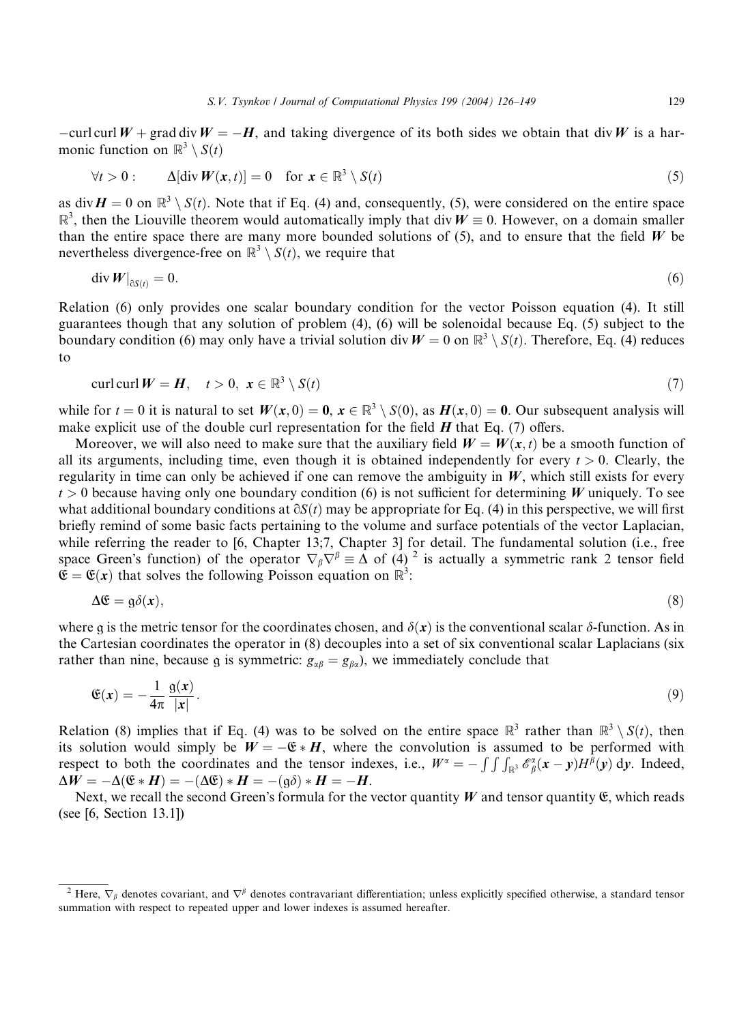-curl curl  $W$  + grad div  $W = -H$ , and taking divergence of its both sides we obtain that div W is a harmonic function on  $\mathbb{R}^3 \setminus S(t)$ 

$$
\forall t > 0: \qquad \Delta[\text{div } W(x, t)] = 0 \quad \text{for } x \in \mathbb{R}^3 \setminus S(t) \tag{5}
$$

as div  $H = 0$  on  $\mathbb{R}^3 \setminus S(t)$ . Note that if Eq. (4) and, consequently, (5), were considered on the entire space  $\mathbb{R}^3$ , then the Liouville theorem would automatically imply that div  $W \equiv 0$ . However, on a domain smaller than the entire space there are many more bounded solutions of  $(5)$ , and to ensure that the field W be nevertheless divergence-free on  $\mathbb{R}^3 \setminus S(t)$ , we require that

$$
\operatorname{div} W|_{\partial S(t)} = 0. \tag{6}
$$

Relation (6) only provides one scalar boundary condition for the vector Poisson equation (4). It still guarantees though that any solution of problem (4), (6) will be solenoidal because Eq. (5) subject to the boundary condition (6) may only have a trivial solution div  $W = 0$  on  $\mathbb{R}^3 \setminus S(t)$ . Therefore, Eq. (4) reduces to

$$
\operatorname{curl} \operatorname{curl} W = H, \quad t > 0, \ x \in \mathbb{R}^3 \setminus S(t) \tag{7}
$$

while for  $t = 0$  it is natural to set  $W(x, 0) = 0$ ,  $x \in \mathbb{R}^3 \setminus S(0)$ , as  $H(x, 0) = 0$ . Our subsequent analysis will make explicit use of the double curl representation for the field  $H$  that Eq. (7) offers.

Moreover, we will also need to make sure that the auxiliary field  $W = W(x, t)$  be a smooth function of all its arguments, including time, even though it is obtained independently for every  $t > 0$ . Clearly, the regularity in time can only be achieved if one can remove the ambiguity in  $W$ , which still exists for every  $t > 0$  because having only one boundary condition (6) is not sufficient for determining W uniquely. To see what additional boundary conditions at  $\partial S(t)$  may be appropriate for Eq. (4) in this perspective, we will first briefly remind of some basic facts pertaining to the volume and surface potentials of the vector Laplacian, while referring the reader to [6, Chapter 13;7, Chapter 3] for detail. The fundamental solution (i.e., free space Green's function) of the operator  $\nabla_{\beta} \nabla^{\beta} = \hat{\Delta}$  of (4) <sup>2</sup> is actually a symmetric rank 2 tensor field  $\mathfrak{E} = \mathfrak{E}(x)$  that solves the following Poisson equation on  $\mathbb{R}^3$ :

$$
\Delta \mathfrak{E} = \mathfrak{g}\delta(\mathbf{x}),\tag{8}
$$

where g is the metric tensor for the coordinates chosen, and  $\delta(x)$  is the conventional scalar  $\delta$ -function. As in the Cartesian coordinates the operator in (8) decouples into a set of six conventional scalar Laplacians (six rather than nine, because g is symmetric:  $g_{\alpha\beta} = g_{\beta\alpha}$ ), we immediately conclude that

$$
\mathfrak{E}(\mathbf{x}) = -\frac{1}{4\pi} \frac{\mathfrak{g}(\mathbf{x})}{|\mathbf{x}|}.
$$
\n(9)

Relation (8) implies that if Eq. (4) was to be solved on the entire space  $\mathbb{R}^3$  rather than  $\mathbb{R}^3 \setminus S(t)$ , then its solution would simply be  $W = -\mathfrak{E} * H$ , where the convolution is assumed to be performed with respect to both the coordinates and the tensor indexes, i.e.,  $W^{\alpha} = -\int \int \int_{\mathbb{R}^3} \mathcal{E}_{\beta}^{\alpha}(x - y) H^{\beta}(y) dy$ . Indeed,  $\Delta W = -\Delta(\mathfrak{E} * H) = -(\Delta \mathfrak{E}) * H = -(\mathfrak{g}\delta) * H = -H.$ 

Next, we recall the second Green's formula for the vector quantity W and tensor quantity  $\mathfrak{E}$ , which reads (see [6, Section 13.1])

<sup>&</sup>lt;sup>2</sup> Here,  $\nabla_\beta$  denotes covariant, and  $\nabla^\beta$  denotes contravariant differentiation; unless explicitly specified otherwise, a standard tensor summation with respect to repeated upper and lower indexes is assumed hereafter.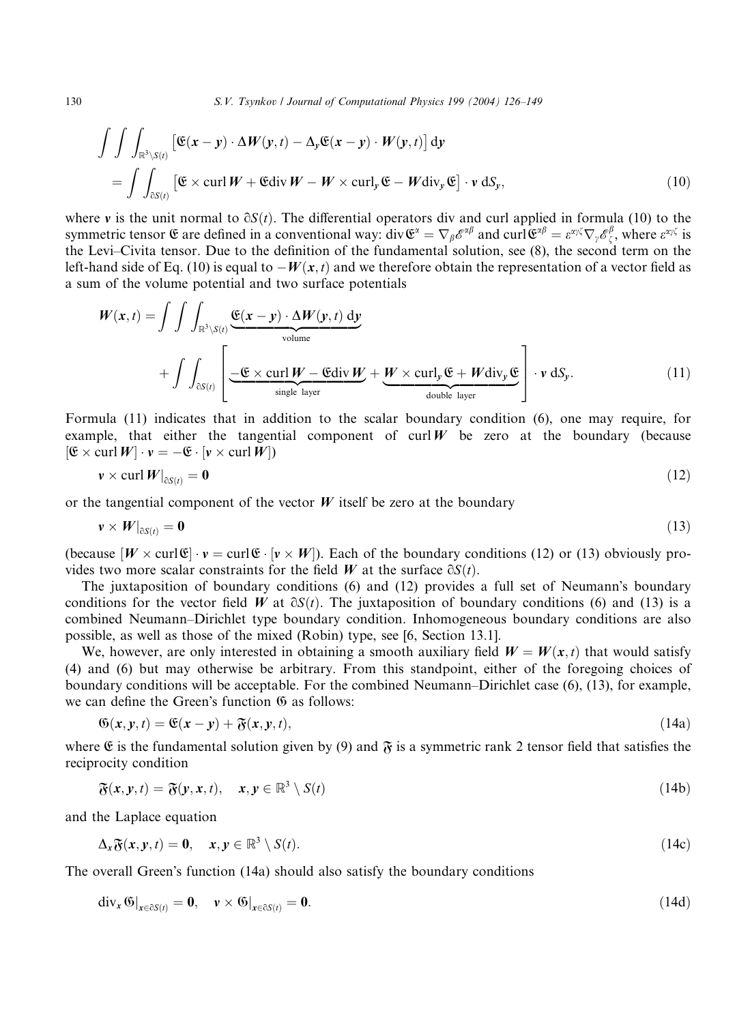130 S.V. Tsynkov / Journal of Computational Physics 199 (2004) 126–149

$$
\int \int \int_{\mathbb{R}^3 \setminus S(t)} \left[ \mathfrak{E}(x - y) \cdot \Delta W(y, t) - \Delta_y \mathfrak{E}(x - y) \cdot W(y, t) \right] dy
$$
  
= 
$$
\int \int_{\partial S(t)} \left[ \mathfrak{E} \times \operatorname{curl} W + \mathfrak{E} \operatorname{div} W - W \times \operatorname{curl}_y \mathfrak{E} - W \operatorname{div}_y \mathfrak{E} \right] \cdot v \, dS_y,
$$
 (10)

where v is the unit normal to  $\partial S(t)$ . The differential operators div and curl applied in formula (10) to the symmetric tensor  $\mathfrak C$  are defined in a conventional way: div $\mathfrak C^{\alpha} = \nabla_{\beta} \mathscr E^{\alpha\beta}$  and  $\text{curl } \mathfrak C^{\alpha\beta} = \varepsilon^{\alpha\gamma\zeta}\nabla_{\gamma} \mathscr E^{\beta}_{\zeta}$ , where  $\varepsilon^{\alpha\gamma\zeta}$  is the Levi–Civita tensor. Due to the definition of the fundamental solution, see (8), the second term on the left-hand side of Eq. (10) is equal to  $-W(x, t)$  and we therefore obtain the representation of a vector field as a sum of the volume potential and two surface potentials

$$
W(x,t) = \int \int \int_{\mathbb{R}^3 \setminus S(t)} \underbrace{\mathfrak{E}(x-y) \cdot \Delta W(y,t) \, dy}_{\text{volume}}
$$
  
+ 
$$
\int \int_{\partial S(t)} \left[ \underbrace{-\mathfrak{E} \times \text{curl } W - \mathfrak{E} \text{div } W}_{\text{single layer}} + \underbrace{W \times \text{curl}_y \mathfrak{E} + W \text{div}_y \mathfrak{E}}_{\text{double layer}} \right] \cdot v \, dS_y. \tag{11}
$$

Formula (11) indicates that in addition to the scalar boundary condition (6), one may require, for example, that either the tangential component of curl  $W$  be zero at the boundary (because  $[\mathfrak{E} \times \text{curl } W] \cdot v = -\mathfrak{E} \cdot [v \times \text{curl } W])$ 

$$
\mathbf{v} \times \operatorname{curl} \boldsymbol{W}|_{\partial S(t)} = \mathbf{0} \tag{12}
$$

or the tangential component of the vector  $W$  itself be zero at the boundary

$$
\mathbf{v} \times \mathbf{W}|_{\partial S(t)} = \mathbf{0} \tag{13}
$$

(because  $[W \times \text{curl} \mathfrak{E} \cdot v = \text{curl} \mathfrak{E} \cdot [v \times W])$ . Each of the boundary conditions (12) or (13) obviously provides two more scalar constraints for the field W at the surface  $\partial S(t)$ .

The juxtaposition of boundary conditions (6) and (12) provides a full set of Neumann's boundary conditions for the vector field W at  $\partial S(t)$ . The juxtaposition of boundary conditions (6) and (13) is a combined Neumann–Dirichlet type boundary condition. Inhomogeneous boundary conditions are also possible, as well as those of the mixed (Robin) type, see [6, Section 13.1].

We, however, are only interested in obtaining a smooth auxiliary field  $W = W(x, t)$  that would satisfy (4) and (6) but may otherwise be arbitrary. From this standpoint, either of the foregoing choices of boundary conditions will be acceptable. For the combined Neumann–Dirichlet case (6), (13), for example, we can define the Green's function  $6$  as follows:

$$
\mathfrak{G}(x, y, t) = \mathfrak{E}(x - y) + \mathfrak{F}(x, y, t),\tag{14a}
$$

where  $\mathfrak E$  is the fundamental solution given by (9) and  $\mathfrak F$  is a symmetric rank 2 tensor field that satisfies the reciprocity condition

$$
\mathfrak{F}(x, y, t) = \mathfrak{F}(y, x, t), \quad x, y \in \mathbb{R}^3 \setminus S(t) \tag{14b}
$$

and the Laplace equation

$$
\Delta_x \mathfrak{F}(x, y, t) = \mathbf{0}, \quad x, y \in \mathbb{R}^3 \setminus S(t).
$$
\n(14c)

The overall Green's function  $(14a)$  should also satisfy the boundary conditions

$$
\operatorname{div}_{x} \mathfrak{G}|_{x \in \partial S(t)} = \mathbf{0}, \quad v \times \mathfrak{G}|_{x \in \partial S(t)} = \mathbf{0}.
$$
\n(14d)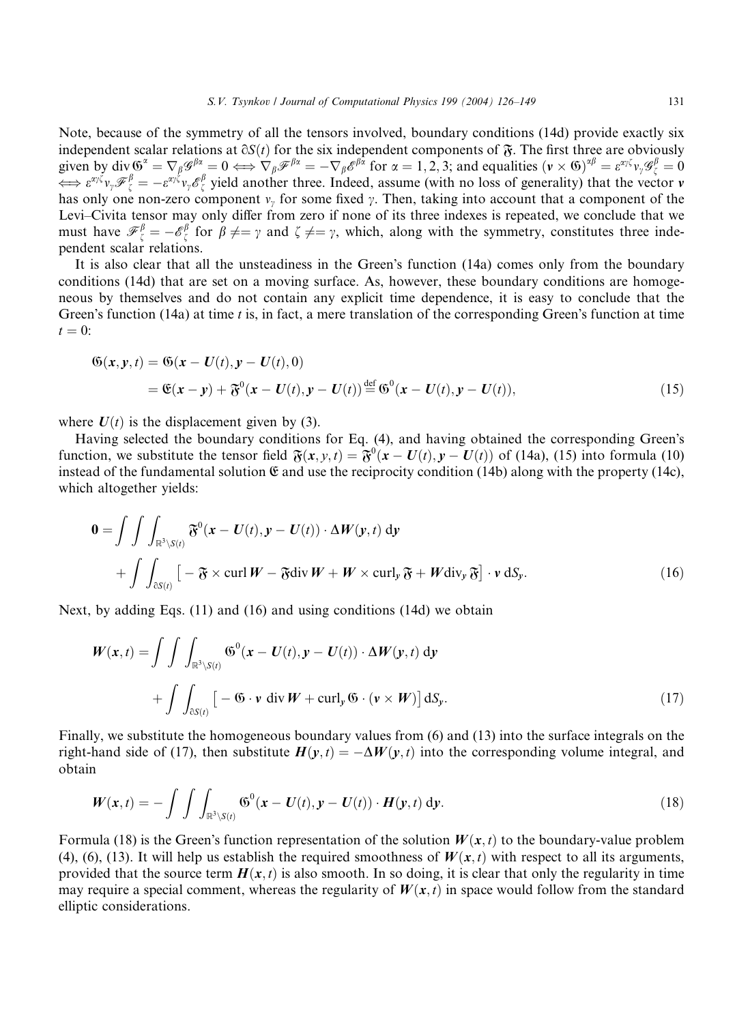Note, because of the symmetry of all the tensors involved, boundary conditions (14d) provide exactly six independent scalar relations at  $\partial S(t)$  for the six independent components of  $\mathfrak{F}$ . The first three are obviously given by div $\mathfrak{G}^{\alpha} = \nabla_{\beta} \mathscr{G}^{\beta\alpha} = 0 \Longleftrightarrow \nabla_{\beta} \mathscr{F}^{\beta\alpha} = -\nabla_{\beta} \mathscr{E}^{\beta\alpha}$  for  $\alpha = 1, 2, 3$ ; and equalities  $(\mathbf{v} \times \mathfrak{G})^{\alpha\beta} = \mathcal{E}^{\alpha\gamma\zeta} \mathbf{v}_{\gamma} \mathscr{G}^{\beta}_{\zeta} = 0$  $\iff \varepsilon^{ax/\zeta}v_\gamma\mathscr{F}^\beta_\zeta = -\varepsilon^{ax/\zeta}v_\gamma\mathscr{E}^\beta_\zeta$  yield another three. Indeed, assume (with no loss of generality) that the vector  $v$ has only one non-zero component  $v<sub>v</sub>$  for some fixed  $\gamma$ . Then, taking into account that a component of the Levi–Civita tensor may only differ from zero if none of its three indexes is repeated, we conclude that we must have  $\mathscr{F}_{\zeta}^{\beta} = -\mathscr{E}_{\zeta}^{\beta}$  for  $\beta \neq -\gamma$  and  $\zeta \neq -\gamma$ , which, along with the symmetry, constitutes three independent scalar relations.

It is also clear that all the unsteadiness in the Green's function (14a) comes only from the boundary conditions (14d) that are set on a moving surface. As, however, these boundary conditions are homogeneous by themselves and do not contain any explicit time dependence, it is easy to conclude that the Green's function (14a) at time t is, in fact, a mere translation of the corresponding Green's function at time  $t = 0$ :

$$
\begin{aligned} \n\mathfrak{G}(x, y, t) &= \mathfrak{G}(x - U(t), y - U(t), 0) \\ \n&= \mathfrak{E}(x - y) + \mathfrak{F}^0(x - U(t), y - U(t)) \stackrel{\text{def}}{=} \mathfrak{G}^0(x - U(t), y - U(t)), \n\end{aligned} \tag{15}
$$

where  $U(t)$  is the displacement given by (3).

Having selected the boundary conditions for Eq. (4), and having obtained the corresponding Green's function, we substitute the tensor field  $\mathfrak{F}(x, y, t) = \mathfrak{F}^{0}(x - U(t), y - U(t))$  of (14a), (15) into formula (10) instead of the fundamental solution  $\mathfrak C$  and use the reciprocity condition (14b) along with the property (14c), which altogether yields:

$$
\mathbf{0} = \int \int \int_{\mathbb{R}^3 \setminus S(t)} \mathfrak{F}^0(\mathbf{x} - \mathbf{U}(t), \mathbf{y} - \mathbf{U}(t)) \cdot \Delta \mathbf{W}(\mathbf{y}, t) \, \mathrm{d}\mathbf{y} \n+ \int \int_{\partial S(t)} \left[ -\mathfrak{F} \times \operatorname{curl} \mathbf{W} - \mathfrak{F} \operatorname{div} \mathbf{W} + \mathbf{W} \times \operatorname{curl}_{\mathbf{y}} \mathfrak{F} + \mathbf{W} \operatorname{div}_{\mathbf{y}} \mathfrak{F} \right] \cdot \mathbf{v} \, \mathrm{d}S_{\mathbf{y}}.
$$
\n(16)

Next, by adding Eqs. (11) and (16) and using conditions (14d) we obtain

$$
W(x,t) = \int \int \int_{\mathbb{R}^3 \setminus S(t)} \mathfrak{G}^0(x - U(t), y - U(t)) \cdot \Delta W(y,t) \, dy
$$

$$
+ \int \int_{\partial S(t)} \left[ - \mathfrak{G} \cdot v \, \text{div} \, W + \text{curl}_y \, \mathfrak{G} \cdot (v \times W) \right] \, \text{d}S_y. \tag{17}
$$

Finally, we substitute the homogeneous boundary values from (6) and (13) into the surface integrals on the right-hand side of (17), then substitute  $H(y, t) = -\Delta W(y, t)$  into the corresponding volume integral, and obtain

$$
\boldsymbol{W}(\boldsymbol{x},t) = -\int \int \int_{\mathbb{R}^3 \setminus S(t)} \mathfrak{G}^0(\boldsymbol{x} - \boldsymbol{U}(t), \boldsymbol{y} - \boldsymbol{U}(t)) \cdot \boldsymbol{H}(\boldsymbol{y},t) \, \mathrm{d}\boldsymbol{y}.\tag{18}
$$

Formula (18) is the Green's function representation of the solution  $W(x, t)$  to the boundary-value problem (4), (6), (13). It will help us establish the required smoothness of  $W(x, t)$  with respect to all its arguments, provided that the source term  $H(x, t)$  is also smooth. In so doing, it is clear that only the regularity in time may require a special comment, whereas the regularity of  $W(x, t)$  in space would follow from the standard elliptic considerations.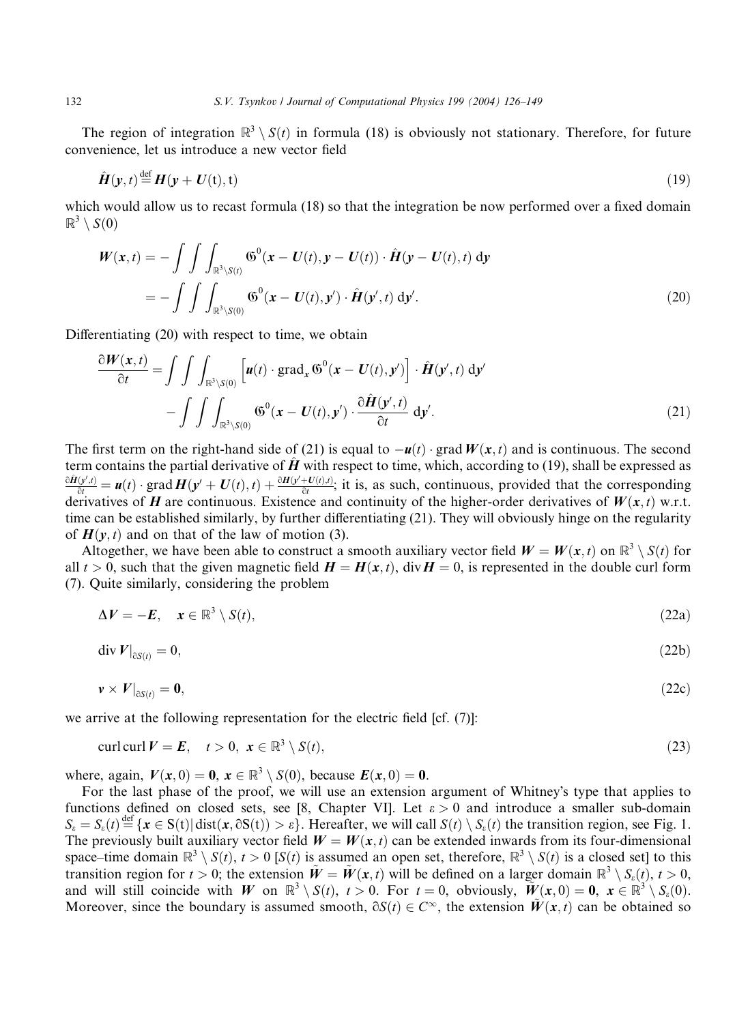The region of integration  $\mathbb{R}^3 \setminus S(t)$  in formula (18) is obviously not stationary. Therefore, for future convenience, let us introduce a new vector field

$$
\hat{\boldsymbol{H}}(\mathbf{y},t) \stackrel{\text{def}}{=} \boldsymbol{H}(\mathbf{y} + \boldsymbol{U}(t),t) \tag{19}
$$

which would allow us to recast formula (18) so that the integration be now performed over a fixed domain  $\mathbb{R}^3 \setminus S(0)$ 

$$
W(\mathbf{x},t) = -\int \int \int_{\mathbb{R}^3 \setminus S(t)} \mathfrak{G}^0(\mathbf{x} - \mathbf{U}(t), \mathbf{y} - \mathbf{U}(t)) \cdot \hat{\mathbf{H}}(\mathbf{y} - \mathbf{U}(t), t) d\mathbf{y}
$$
  
= 
$$
- \int \int \int_{\mathbb{R}^3 \setminus S(0)} \mathfrak{G}^0(\mathbf{x} - \mathbf{U}(t), \mathbf{y}') \cdot \hat{\mathbf{H}}(\mathbf{y}', t) d\mathbf{y}'.
$$
 (20)

Differentiating (20) with respect to time, we obtain

$$
\frac{\partial W(x,t)}{\partial t} = \iint \int \int_{\mathbb{R}^3 \setminus S(0)} \left[ \boldsymbol{u}(t) \cdot \operatorname{grad}_x \boldsymbol{G}^0(\boldsymbol{x} - \boldsymbol{U}(t), \boldsymbol{y}') \right] \cdot \hat{\boldsymbol{H}}(\boldsymbol{y}', t) \, d\boldsymbol{y}'
$$

$$
- \iint \int \int_{\mathbb{R}^3 \setminus S(0)} \boldsymbol{G}^0(\boldsymbol{x} - \boldsymbol{U}(t), \boldsymbol{y}') \cdot \frac{\partial \hat{\boldsymbol{H}}(\boldsymbol{y}', t)}{\partial t} \, d\boldsymbol{y}'. \tag{21}
$$

The first term on the right-hand side of (21) is equal to  $-\mathbf{u}(t) \cdot \text{grad } W(x, t)$  and is continuous. The second term contains the partial derivative of  $\hat{H}$  with respect to time, which, according to (19), shall be expressed as  $\frac{\partial \hat{H}(y',t)}{\partial t} = u(t) \cdot \text{grad } H(y'+U(t),t) + \frac{\partial H(y'+U(t),t)}{\partial t}$ ; it is, as such, continuous, provided that the corresponding derivatives of H are continuous. Existence and continuity of the higher-order derivatives of  $W(x, t)$  w.r.t. time can be established similarly, by further differentiating (21). They will obviously hinge on the regularity of  $H(y, t)$  and on that of the law of motion (3).

Altogether, we have been able to construct a smooth auxiliary vector field  $W = W(x, t)$  on  $\mathbb{R}^3 \setminus S(t)$  for all  $t > 0$ , such that the given magnetic field  $H = H(x, t)$ , div $H = 0$ , is represented in the double curl form (7). Quite similarly, considering the problem

$$
\Delta V = -E, \quad x \in \mathbb{R}^3 \setminus S(t), \tag{22a}
$$

 $\left. \text{div }\mathbf{\mathit{V}}\right| _{\partial S(t)}=0,$  $\delta s(t) = 0,$  (22b)

$$
\mathbf{v} \times \mathbf{V}|_{\partial S(t)} = \mathbf{0},\tag{22c}
$$

we arrive at the following representation for the electric field [cf. (7)]:

$$
\operatorname{curl} \operatorname{curl} \boldsymbol{V} = \boldsymbol{E}, \quad t > 0, \ \boldsymbol{x} \in \mathbb{R}^3 \setminus S(t), \tag{23}
$$

where, again,  $V(x, 0) = 0$ ,  $x \in \mathbb{R}^3 \setminus S(0)$ , because  $E(x, 0) = 0$ .

For the last phase of the proof, we will use an extension argument of Whitney's type that applies to functions defined on closed sets, see [8, Chapter VI]. Let  $\varepsilon > 0$  and introduce a smaller sub-domain  $S_{\varepsilon} = S_{\varepsilon}(t) \stackrel{\text{def}}{=} \{x \in S(t) | \text{dist}(x, \partial S(t)) > \varepsilon\}.$  Hereafter, we will call  $S(t) \setminus S_{\varepsilon}(t)$  the transition region, see Fig. 1. The previously built auxiliary vector field  $W = W(x, t)$  can be extended inwards from its four-dimensional space–time domain  $\mathbb{R}^3 \setminus S(t)$ ,  $t > 0$  [S(t) is assumed an open set, therefore,  $\mathbb{R}^3 \setminus S(t)$  is a closed set] to this transition region for  $t > 0$ ; the extension  $\tilde{W} = \tilde{W}(x, t)$  will be defined on a larger domain  $\mathbb{R}^3 \setminus S_{\varepsilon}(t), t > 0$ , and will still coincide with W on  $\mathbb{R}^3 \setminus S(t)$ ,  $t > 0$ . For  $t = 0$ , obviously,  $\tilde{W}(x, 0) = 0$ ,  $x \in \mathbb{R}^3 \setminus S_8(0)$ . Moreover, since the boundary is assumed smooth,  $\partial S(t) \in C^{\infty}$ , the extension  $\tilde{W}(x, t)$  can be obtained so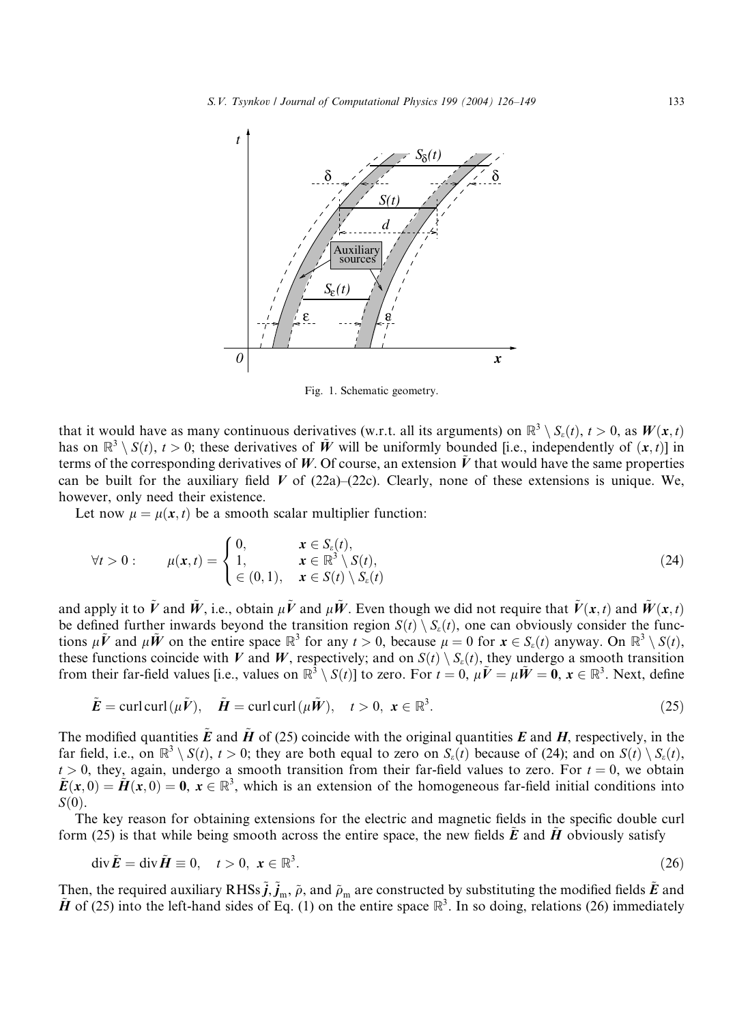

Fig. 1. Schematic geometry.

that it would have as many continuous derivatives (w.r.t. all its arguments) on  $\mathbb{R}^3 \setminus S_{\varepsilon}(t)$ ,  $t > 0$ , as  $W(x, t)$ has on  $\mathbb{R}^3 \setminus S(t)$ ,  $t > 0$ ; these derivatives of  $\tilde{W}$  will be uniformly bounded [i.e., independently of  $(x, t)$ ] in terms of the corresponding derivatives of W. Of course, an extension  $\tilde{V}$  that would have the same properties can be built for the auxiliary field V of (22a)–(22c). Clearly, none of these extensions is unique. We, however, only need their existence.

Let now  $\mu = \mu(x, t)$  be a smooth scalar multiplier function:

$$
\forall t > 0: \qquad \mu(x, t) = \begin{cases} 0, & x \in S_{\varepsilon}(t), \\ 1, & x \in \mathbb{R}^3 \setminus S(t), \\ \in (0, 1), & x \in S(t) \setminus S_{\varepsilon}(t) \end{cases} \tag{24}
$$

and apply it to  $\tilde{V}$  and  $\tilde{W}$ , i.e., obtain  $\mu\tilde{V}$  and  $\mu\tilde{W}$ . Even though we did not require that  $\tilde{V}(x, t)$  and  $\tilde{W}(x, t)$ be defined further inwards beyond the transition region  $S(t) \setminus S_{\varepsilon}(t)$ , one can obviously consider the functions  $\mu \tilde{V}$  and  $\mu \tilde{W}$  on the entire space  $\mathbb{R}^3$  for any  $t > 0$ , because  $\mu = 0$  for  $x \in S_\varepsilon(t)$  anyway. On  $\mathbb{R}^3 \setminus S(t)$ , these functions coincide with V and W, respectively; and on  $S(t) \setminus S_{\varepsilon}(t)$ , they undergo a smooth transition from their far-field values [i.e., values on  $\mathbb{R}^3 \setminus S(t)$ ] to zero. For  $t = 0$ ,  $\mu \tilde{V} = \mu \tilde{W} = 0$ ,  $x \in \mathbb{R}^3$ . Next, define

$$
\tilde{E} = \text{curl curl}(\mu \tilde{V}), \quad \tilde{H} = \text{curl curl}(\mu \tilde{W}), \quad t > 0, \ x \in \mathbb{R}^3.
$$
\n(25)

The modified quantities  $\tilde{E}$  and  $\tilde{H}$  of (25) coincide with the original quantities E and H, respectively, in the far field, i.e., on  $\mathbb{R}^3 \setminus S(t)$ ,  $t > 0$ ; they are both equal to zero on  $S_{\varepsilon}(t)$  because of (24); and on  $S(t) \setminus S_{\varepsilon}(t)$ ,  $t > 0$ , they, again, undergo a smooth transition from their far-field values to zero. For  $t = 0$ , we obtain  $\tilde{E}(x,0) = \tilde{H}(x,0) = 0$ ,  $x \in \mathbb{R}^3$ , which is an extension of the homogeneous far-field initial conditions into  $S(0)$ .

The key reason for obtaining extensions for the electric and magnetic fields in the specific double curl form (25) is that while being smooth across the entire space, the new fields  $E$  and  $H$  obviously satisfy

$$
\operatorname{div} \tilde{E} = \operatorname{div} \tilde{H} \equiv 0, \quad t > 0, \ x \in \mathbb{R}^3. \tag{26}
$$

Then, the required auxiliary RHSs  $\tilde{j}$ ,  $\tilde{j}_m$ ,  $\tilde{\rho}$ , and  $\tilde{\rho}_m$  are constructed by substituting the modified fields  $\tilde{E}$  and  $\tilde{H}$  of (25) into the left-hand sides of Eq. (1) on the entire space  $\mathbb{R}^3$ . In so doing, relations (26) immediately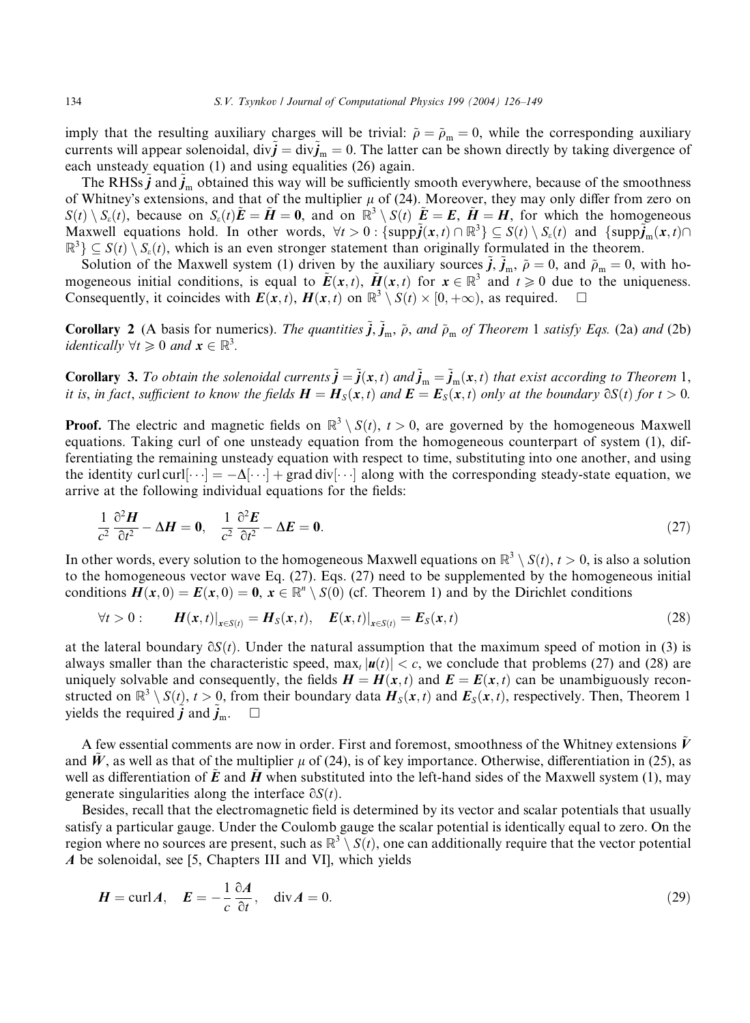imply that the resulting auxiliary charges will be trivial:  $\tilde{\rho} = \tilde{\rho}_m = 0$ , while the corresponding auxiliary currents will appear solenoidal, div $\tilde{j} = div \tilde{j}_m = 0$ . The latter can be shown directly by taking divergence of each unsteady equation (1) and using equalities (26) again.

The RHSs  $\hat{j}$  and  $\hat{j}_m$  obtained this way will be sufficiently smooth everywhere, because of the smoothness of Whitney's extensions, and that of the multiplier  $\mu$  of (24). Moreover, they may only differ from zero on  $S(t) \setminus S_{\varepsilon}(t)$ , because on  $S_{\varepsilon}(t)\tilde{E} = \tilde{H} = 0$ , and on  $\mathbb{R}^3 \setminus S(t)$   $\tilde{E} = E$ ,  $\tilde{H} = H$ , for which the homogeneous Maxwell equations hold. In other words,  $\forall t > 0$ :  $\{\text{supp}\tilde{j}(x,t) \cap \mathbb{R}^3\} \subseteq S(t) \setminus S_{\varepsilon}(t)$  and  $\{\text{supp}\tilde{j}_{\text{m}}(x,t) \cap$  $\mathbb{R}^3$   $\subseteq S(t) \setminus S_{\varepsilon}(t)$ , which is an even stronger statement than originally formulated in the theorem.

Solution of the Maxwell system (1) driven by the auxiliary sources  $\tilde{j}$ ,  $\tilde{j}_m$ ,  $\tilde{\rho} = 0$ , and  $\tilde{\rho}_m = 0$ , with homogeneous initial conditions, is equal to  $\tilde{E}(x, t)$ ,  $\tilde{H}(x, t)$  for  $x \in \mathbb{R}^3$  and  $t \ge 0$  due to the uniqueness. Consequently, it coincides with  $E(x, t)$ ,  $H(x, t)$  on  $\mathbb{R}^3 \setminus S(t) \times [0, +\infty)$ , as required.

**Corollary 2** (A basis for numerics). The quantities  $\tilde{j}$ ,  $\tilde{j}_m$ ,  $\tilde{\rho}$ , and  $\tilde{\rho}_m$  of Theorem 1 satisfy Eqs. (2a) and (2b) identically  $\forall t \geqslant 0$  and  $\mathbf{x} \in \mathbb{R}^3$ .

**Corollary 3.** To obtain the solenoidal currents  $\tilde{j} = \tilde{j}(x, t)$  and  $\tilde{j}_m = \tilde{j}_m(x, t)$  that exist according to Theorem 1, it is, in fact, sufficient to know the fields  $H = H_S(x, t)$  and  $E = E_S(x, t)$  only at the boundary  $\partial S(t)$  for  $t > 0$ .

**Proof.** The electric and magnetic fields on  $\mathbb{R}^3 \setminus S(t)$ ,  $t > 0$ , are governed by the homogeneous Maxwell equations. Taking curl of one unsteady equation from the homogeneous counterpart of system (1), differentiating the remaining unsteady equation with respect to time, substituting into one another, and using the identity curl curl $[\cdots] = -\Delta[\cdots] + \text{grad div}[\cdots]$  along with the corresponding steady-state equation, we arrive at the following individual equations for the fields:

$$
\frac{1}{c^2} \frac{\partial^2 H}{\partial t^2} - \Delta H = 0, \quad \frac{1}{c^2} \frac{\partial^2 E}{\partial t^2} - \Delta E = 0.
$$
 (27)

In other words, every solution to the homogeneous Maxwell equations on  $\mathbb{R}^3 \setminus S(t)$ ,  $t > 0$ , is also a solution to the homogeneous vector wave Eq. (27). Eqs. (27) need to be supplemented by the homogeneous initial conditions  $H(x, 0) = E(x, 0) = 0$ ,  $x \in \mathbb{R}^n \setminus S(0)$  (cf. Theorem 1) and by the Dirichlet conditions

$$
\forall t > 0: \qquad \boldsymbol{H}(\boldsymbol{x},t)|_{\boldsymbol{x} \in S(t)} = \boldsymbol{H}_S(\boldsymbol{x},t), \quad \boldsymbol{E}(\boldsymbol{x},t)|_{\boldsymbol{x} \in S(t)} = \boldsymbol{E}_S(\boldsymbol{x},t) \tag{28}
$$

at the lateral boundary  $\partial S(t)$ . Under the natural assumption that the maximum speed of motion in (3) is always smaller than the characteristic speed, max<sub>t</sub>  $|u(t)| < c$ , we conclude that problems (27) and (28) are uniquely solvable and consequently, the fields  $H = H(x, t)$  and  $E = E(x, t)$  can be unambiguously reconstructed on  $\mathbb{R}^3 \setminus S(t)$ ,  $t > 0$ , from their boundary data  $H_S(x, t)$  and  $E_S(x, t)$ , respectively. Then, Theorem 1 yields the required  $\tilde{j}$  and  $\tilde{j}_m$ .  $\square$ 

A few essential comments are now in order. First and foremost, smoothness of the Whitney extensions  $\tilde{V}$ and  $W$ , as well as that of the multiplier  $\mu$  of (24), is of key importance. Otherwise, differentiation in (25), as well as differentiation of E and H when substituted into the left-hand sides of the Maxwell system (1), may generate singularities along the interface  $\partial S(t)$ .

Besides, recall that the electromagnetic field is determined by its vector and scalar potentials that usually satisfy a particular gauge. Under the Coulomb gauge the scalar potential is identically equal to zero. On the region where no sources are present, such as  $\mathbb{R}^3 \setminus S(t)$ , one can additionally require that the vector potential A be solenoidal, see [5, Chapters III and VI], which yields

$$
H = \text{curl} A, \quad E = -\frac{1}{c} \frac{\partial A}{\partial t}, \quad \text{div} A = 0. \tag{29}
$$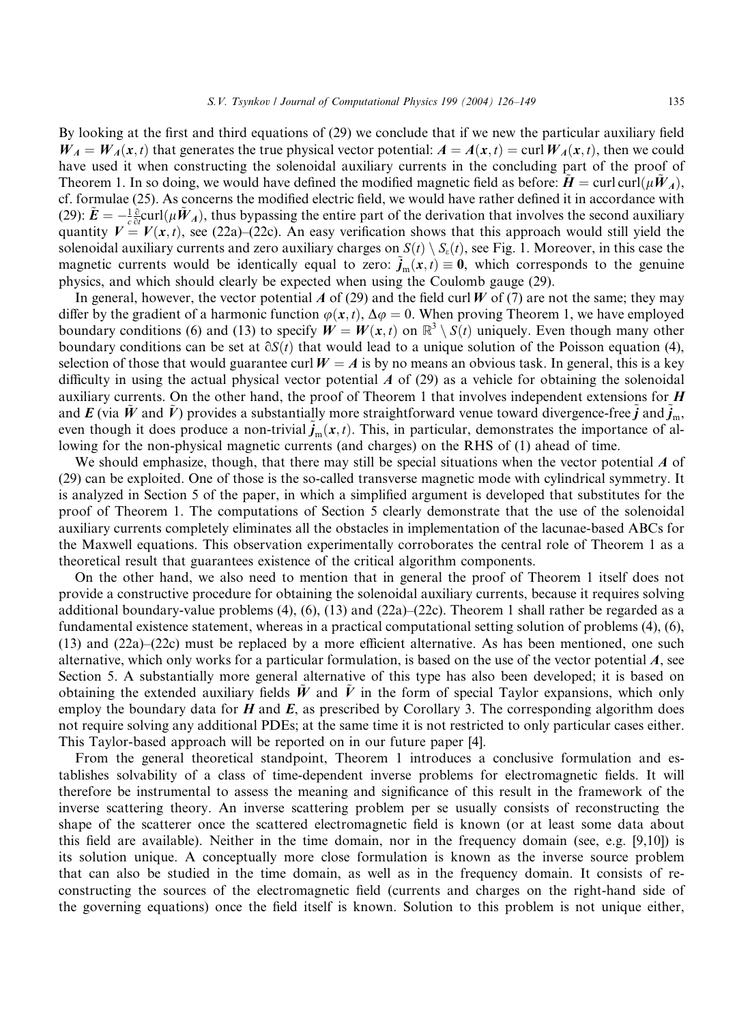By looking at the first and third equations of (29) we conclude that if we new the particular auxiliary field  $W_A = W_A(x, t)$  that generates the true physical vector potential:  $A = A(x, t) = \text{curl } W_A(x, t)$ , then we could have used it when constructing the solenoidal auxiliary currents in the concluding part of the proof of Theorem 1. In so doing, we would have defined the modified magnetic field as before:  $\tilde{H} = \text{curl curl}(\mu \tilde{W}_A)$ , cf. formulae (25). As concerns the modified electric field, we would have rather defined it in accordance with (29):  $\tilde{E} = -\frac{1}{c} \frac{\partial}{\partial t} curl(\mu \tilde{W}_A)$ , thus bypassing the entire part of the derivation that involves the second auxiliary quantity  $V = V(x, t)$ , see (22a)–(22c). An easy verification shows that this approach would still yield the solenoidal auxiliary currents and zero auxiliary charges on  $S(t) \setminus S_0(t)$ , see Fig. 1. Moreover, in this case the magnetic currents would be identically equal to zero:  $j_m(x, t) \equiv 0$ , which corresponds to the genuine physics, and which should clearly be expected when using the Coulomb gauge (29).

In general, however, the vector potential A of (29) and the field curl W of (7) are not the same; they may differ by the gradient of a harmonic function  $\varphi(x, t)$ ,  $\Delta \varphi = 0$ . When proving Theorem 1, we have employed boundary conditions (6) and (13) to specify  $W = W(x, t)$  on  $\mathbb{R}^3 \setminus S(t)$  uniquely. Even though many other boundary conditions can be set at  $\partial S(t)$  that would lead to a unique solution of the Poisson equation (4), selection of those that would guarantee curl  $W = A$  is by no means an obvious task. In general, this is a key difficulty in using the actual physical vector potential  $\vec{A}$  of (29) as a vehicle for obtaining the solenoidal auxiliary currents. On the other hand, the proof of Theorem 1 that involves independent extensions for  $H$ and E (via  $\hat{W}$  and  $\hat{V}$ ) provides a substantially more straightforward venue toward divergence-free j and  $j<sub>m</sub>$ , even though it does produce a non-trivial  $\tilde{J}_m(x,t)$ . This, in particular, demonstrates the importance of allowing for the non-physical magnetic currents (and charges) on the RHS of (1) ahead of time.

We should emphasize, though, that there may still be special situations when the vector potential  $\vec{A}$  of (29) can be exploited. One of those is the so-called transverse magnetic mode with cylindrical symmetry. It is analyzed in Section 5 of the paper, in which a simplified argument is developed that substitutes for the proof of Theorem 1. The computations of Section 5 clearly demonstrate that the use of the solenoidal auxiliary currents completely eliminates all the obstacles in implementation of the lacunae-based ABCs for the Maxwell equations. This observation experimentally corroborates the central role of Theorem 1 as a theoretical result that guarantees existence of the critical algorithm components.

On the other hand, we also need to mention that in general the proof of Theorem 1 itself does not provide a constructive procedure for obtaining the solenoidal auxiliary currents, because it requires solving additional boundary-value problems  $(4)$ ,  $(6)$ ,  $(13)$  and  $(22a)$ – $(22c)$ . Theorem 1 shall rather be regarded as a fundamental existence statement, whereas in a practical computational setting solution of problems (4), (6), (13) and (22a)–(22c) must be replaced by a more efficient alternative. As has been mentioned, one such alternative, which only works for a particular formulation, is based on the use of the vector potential A, see Section 5. A substantially more general alternative of this type has also been developed; it is based on obtaining the extended auxiliary fields  $\tilde{W}$  and  $\tilde{V}$  in the form of special Taylor expansions, which only employ the boundary data for  $H$  and  $E$ , as prescribed by Corollary 3. The corresponding algorithm does not require solving any additional PDEs; at the same time it is not restricted to only particular cases either. This Taylor-based approach will be reported on in our future paper [4].

From the general theoretical standpoint, Theorem 1 introduces a conclusive formulation and establishes solvability of a class of time-dependent inverse problems for electromagnetic fields. It will therefore be instrumental to assess the meaning and significance of this result in the framework of the inverse scattering theory. An inverse scattering problem per se usually consists of reconstructing the shape of the scatterer once the scattered electromagnetic field is known (or at least some data about this field are available). Neither in the time domain, nor in the frequency domain (see, e.g. [9,10]) is its solution unique. A conceptually more close formulation is known as the inverse source problem that can also be studied in the time domain, as well as in the frequency domain. It consists of reconstructing the sources of the electromagnetic field (currents and charges on the right-hand side of the governing equations) once the field itself is known. Solution to this problem is not unique either,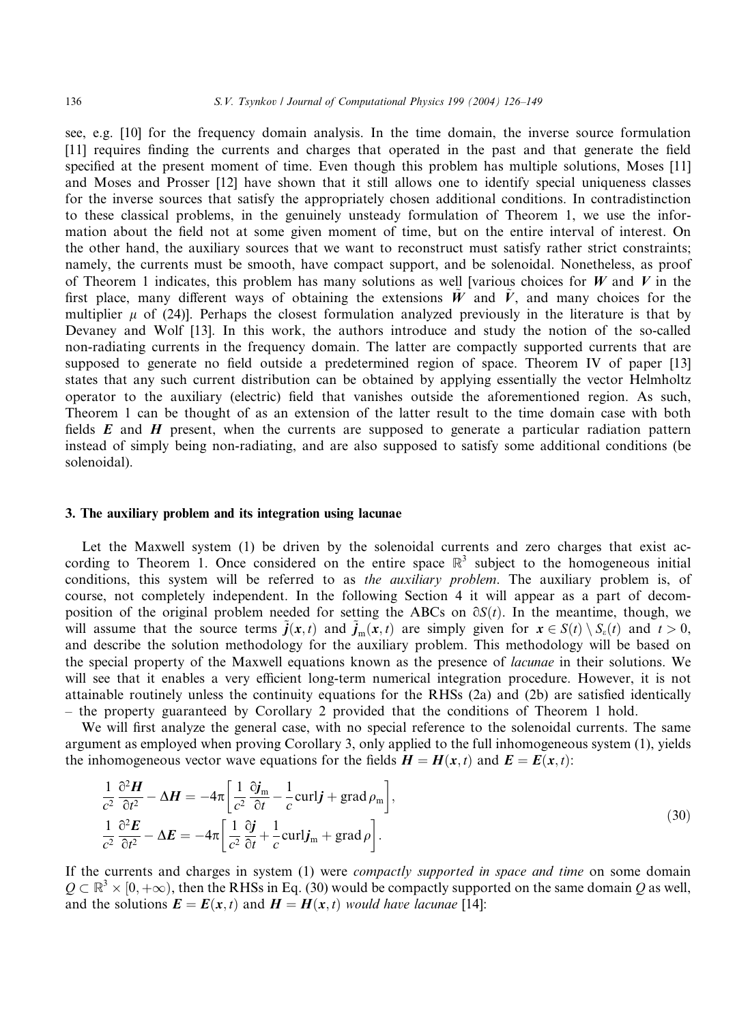see, e.g. [10] for the frequency domain analysis. In the time domain, the inverse source formulation [11] requires finding the currents and charges that operated in the past and that generate the field specified at the present moment of time. Even though this problem has multiple solutions, Moses [11] and Moses and Prosser [12] have shown that it still allows one to identify special uniqueness classes for the inverse sources that satisfy the appropriately chosen additional conditions. In contradistinction to these classical problems, in the genuinely unsteady formulation of Theorem 1, we use the information about the field not at some given moment of time, but on the entire interval of interest. On the other hand, the auxiliary sources that we want to reconstruct must satisfy rather strict constraints; namely, the currents must be smooth, have compact support, and be solenoidal. Nonetheless, as proof of Theorem 1 indicates, this problem has many solutions as well [various choices for  $W$  and  $V$  in the first place, many different ways of obtaining the extensions  $\tilde{W}$  and  $\tilde{V}$ , and many choices for the multiplier  $\mu$  of (24)]. Perhaps the closest formulation analyzed previously in the literature is that by Devaney and Wolf [13]. In this work, the authors introduce and study the notion of the so-called non-radiating currents in the frequency domain. The latter are compactly supported currents that are supposed to generate no field outside a predetermined region of space. Theorem IV of paper [13] states that any such current distribution can be obtained by applying essentially the vector Helmholtz operator to the auxiliary (electric) field that vanishes outside the aforementioned region. As such, Theorem 1 can be thought of as an extension of the latter result to the time domain case with both fields  $E$  and  $H$  present, when the currents are supposed to generate a particular radiation pattern instead of simply being non-radiating, and are also supposed to satisfy some additional conditions (be solenoidal).

#### 3. The auxiliary problem and its integration using lacunae

Let the Maxwell system (1) be driven by the solenoidal currents and zero charges that exist according to Theorem 1. Once considered on the entire space  $\mathbb{R}^3$  subject to the homogeneous initial conditions, this system will be referred to as the auxiliary problem. The auxiliary problem is, of course, not completely independent. In the following Section 4 it will appear as a part of decomposition of the original problem needed for setting the ABCs on  $\partial S(t)$ . In the meantime, though, we will assume that the source terms  $\tilde{j}(x, t)$  and  $\tilde{j}_m(x, t)$  are simply given for  $x \in S(t) \setminus S_{\varepsilon}(t)$  and  $t > 0$ , and describe the solution methodology for the auxiliary problem. This methodology will be based on the special property of the Maxwell equations known as the presence of *lacunae* in their solutions. We will see that it enables a very efficient long-term numerical integration procedure. However, it is not attainable routinely unless the continuity equations for the RHSs (2a) and (2b) are satisfied identically – the property guaranteed by Corollary 2 provided that the conditions of Theorem 1 hold.

We will first analyze the general case, with no special reference to the solenoidal currents. The same argument as employed when proving Corollary 3, only applied to the full inhomogeneous system (1), yields the inhomogeneous vector wave equations for the fields  $H = H(x, t)$  and  $E = E(x, t)$ :

$$
\frac{1}{c^2} \frac{\partial^2 H}{\partial t^2} - \Delta H = -4\pi \left[ \frac{1}{c^2} \frac{\partial j_m}{\partial t} - \frac{1}{c} \text{curl} j + \text{grad} \rho_m \right],
$$
\n
$$
\frac{1}{c^2} \frac{\partial^2 E}{\partial t^2} - \Delta E = -4\pi \left[ \frac{1}{c^2} \frac{\partial j}{\partial t} + \frac{1}{c} \text{curl} j_m + \text{grad} \rho \right].
$$
\n(30)

If the currents and charges in system (1) were *compactly supported in space and time* on some domain  $Q \subset \mathbb{R}^3 \times [0, +\infty)$ , then the RHSs in Eq. (30) would be compactly supported on the same domain Q as well, and the solutions  $\mathbf{E} = \mathbf{E}(\mathbf{x}, t)$  and  $\mathbf{H} = \mathbf{H}(\mathbf{x}, t)$  would have lacunae [14]: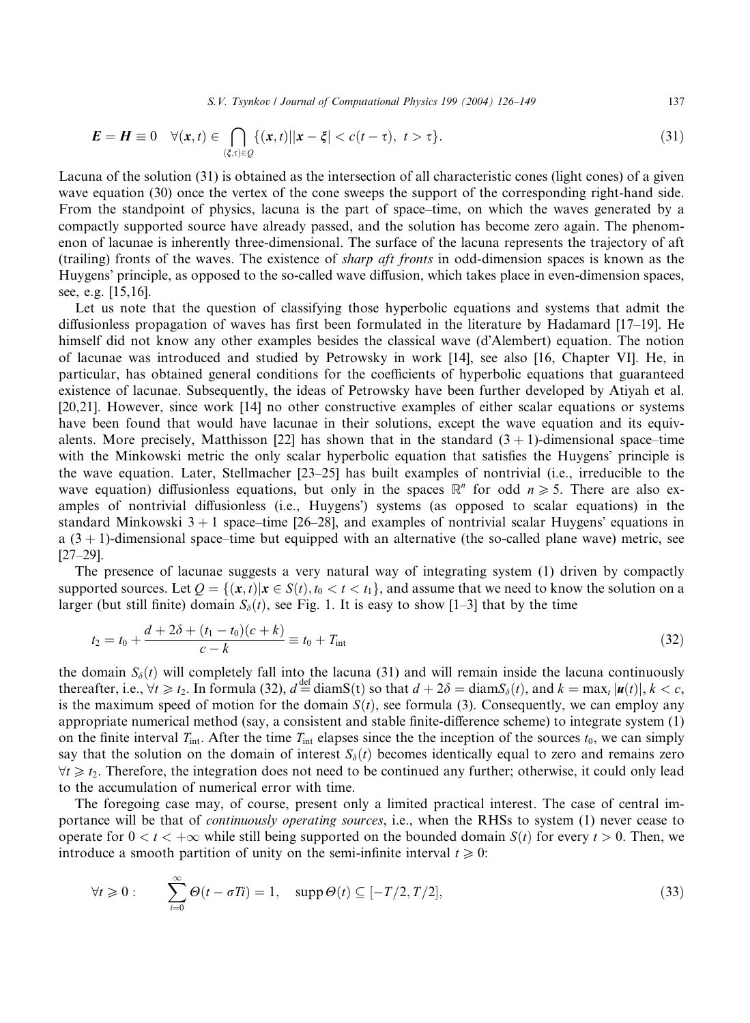S.V. Tsynkov / Journal of Computational Physics 199 (2004) 126–149 137

$$
\boldsymbol{E} = \boldsymbol{H} \equiv 0 \quad \forall (\boldsymbol{x}, t) \in \bigcap_{(\xi, \tau) \in \mathcal{Q}} \{ (\boldsymbol{x}, t) || \boldsymbol{x} - \xi | < c(t - \tau), \ t > \tau \}. \tag{31}
$$

Lacuna of the solution (31) is obtained as the intersection of all characteristic cones (light cones) of a given wave equation (30) once the vertex of the cone sweeps the support of the corresponding right-hand side. From the standpoint of physics, lacuna is the part of space–time, on which the waves generated by a compactly supported source have already passed, and the solution has become zero again. The phenomenon of lacunae is inherently three-dimensional. The surface of the lacuna represents the trajectory of aft (trailing) fronts of the waves. The existence of sharp aft fronts in odd-dimension spaces is known as the Huygens' principle, as opposed to the so-called wave diffusion, which takes place in even-dimension spaces, see, e.g. [15,16].

Let us note that the question of classifying those hyperbolic equations and systems that admit the diffusionless propagation of waves has first been formulated in the literature by Hadamard [17–19]. He himself did not know any other examples besides the classical wave (d'Alembert) equation. The notion of lacunae was introduced and studied by Petrowsky in work [14], see also [16, Chapter VI]. He, in particular, has obtained general conditions for the coefficients of hyperbolic equations that guaranteed existence of lacunae. Subsequently, the ideas of Petrowsky have been further developed by Atiyah et al. [20,21]. However, since work [14] no other constructive examples of either scalar equations or systems have been found that would have lacunae in their solutions, except the wave equation and its equivalents. More precisely, Matthisson [22] has shown that in the standard  $(3 + 1)$ -dimensional space–time with the Minkowski metric the only scalar hyperbolic equation that satisfies the Huygens' principle is the wave equation. Later, Stellmacher [23–25] has built examples of nontrivial (i.e., irreducible to the wave equation) diffusionless equations, but only in the spaces  $\mathbb{R}^n$  for odd  $n \geq 5$ . There are also examples of nontrivial diffusionless (i.e., Huygens) systems (as opposed to scalar equations) in the standard Minkowski  $3 + 1$  space–time [26–28], and examples of nontrivial scalar Huygens' equations in a  $(3 + 1)$ -dimensional space–time but equipped with an alternative (the so-called plane wave) metric, see [27–29].

The presence of lacunae suggests a very natural way of integrating system (1) driven by compactly supported sources. Let  $Q = \{(x, t)| x \in S(t), t_0 < t < t_1\}$ , and assume that we need to know the solution on a larger (but still finite) domain  $S_\delta(t)$ , see Fig. 1. It is easy to show [1–3] that by the time

$$
t_2 = t_0 + \frac{d + 2\delta + (t_1 - t_0)(c + k)}{c - k} \equiv t_0 + T_{\text{int}}
$$
\n(32)

the domain  $S_\delta(t)$  will completely fall into the lacuna (31) and will remain inside the lacuna continuously thereafter, i.e.,  $\forall t \ge t_2$ . In formula (32),  $d \stackrel{\text{def}}{=} \text{diamS}(t)$  so that  $d + 2\delta = \text{diamS}_{\delta}(t)$ , and  $k = \max_t |\mathbf{u}(t)|$ ,  $k < c$ , is the maximum speed of motion for the domain  $S(t)$ , see formula (3). Consequently, we can employ any appropriate numerical method (say, a consistent and stable finite-difference scheme) to integrate system (1) on the finite interval  $T_{\text{int}}$ . After the time  $T_{\text{int}}$  elapses since the the inception of the sources  $t_0$ , we can simply say that the solution on the domain of interest  $S_\delta(t)$  becomes identically equal to zero and remains zero  $\forall t \geq t_2$ . Therefore, the integration does not need to be continued any further; otherwise, it could only lead to the accumulation of numerical error with time.

The foregoing case may, of course, present only a limited practical interest. The case of central importance will be that of *continuously operating sources*, i.e., when the RHSs to system (1) never cease to operate for  $0 < t < +\infty$  while still being supported on the bounded domain  $S(t)$  for every  $t > 0$ . Then, we introduce a smooth partition of unity on the semi-infinite interval  $t \geq 0$ :

$$
\forall t \geq 0: \qquad \sum_{i=0}^{\infty} \Theta(t - \sigma T_i) = 1, \quad \text{supp } \Theta(t) \subseteq [-T/2, T/2], \tag{33}
$$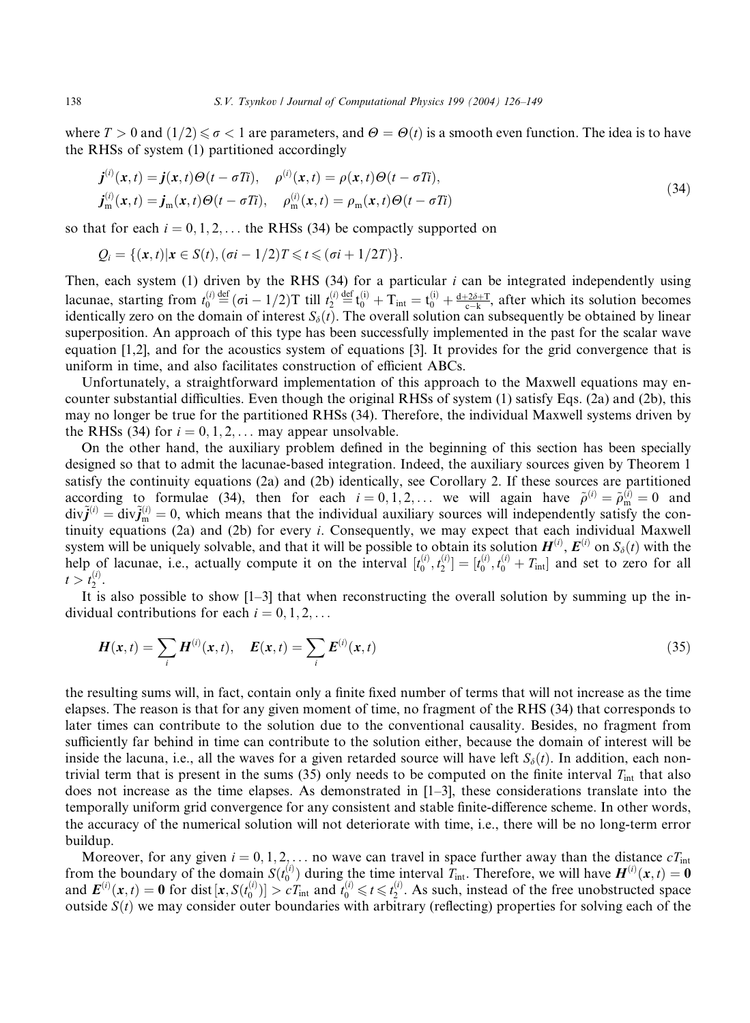where  $T > 0$  and  $(1/2) \leq \sigma < 1$  are parameters, and  $\Theta = \Theta(t)$  is a smooth even function. The idea is to have the RHSs of system (1) partitioned accordingly

$$
\begin{aligned}\n\mathbf{j}^{(i)}(\mathbf{x},t) &= \mathbf{j}(\mathbf{x},t)\Theta(t-\sigma T i), \quad \rho^{(i)}(\mathbf{x},t) = \rho(\mathbf{x},t)\Theta(t-\sigma T i), \\
\mathbf{j}^{(i)}_{\text{m}}(\mathbf{x},t) &= \mathbf{j}_{\text{m}}(\mathbf{x},t)\Theta(t-\sigma T i), \quad \rho^{(i)}_{\text{m}}(\mathbf{x},t) = \rho_{\text{m}}(\mathbf{x},t)\Theta(t-\sigma T i)\n\end{aligned} \tag{34}
$$

so that for each  $i = 0, 1, 2, \ldots$  the RHSs (34) be compactly supported on

$$
Q_i = \{(\mathbf{x},t)|\mathbf{x}\in S(t), (\sigma i - 1/2)T\leq t\leq (\sigma i + 1/2T)\}.
$$

Then, each system (1) driven by the RHS (34) for a particular  $i$  can be integrated independently using lacunae, starting from  $t_0^{(i)} \stackrel{\text{def}}{=} (\sigma i - 1/2)T$  till  $t_2^{(i)} \stackrel{\text{def}}{=} t_0^{(i)} + T_{int} = t_0^{(i)} + \frac{d+2\delta+T}{c-k}$ , after which its solution becomes identically zero on the domain of interest  $S_{\delta}(t)$ . The overall solution can subsequently be obtained by linear superposition. An approach of this type has been successfully implemented in the past for the scalar wave equation [1,2], and for the acoustics system of equations [3]. It provides for the grid convergence that is uniform in time, and also facilitates construction of efficient ABCs.

Unfortunately, a straightforward implementation of this approach to the Maxwell equations may encounter substantial difficulties. Even though the original RHSs of system (1) satisfy Eqs. (2a) and (2b), this may no longer be true for the partitioned RHSs (34). Therefore, the individual Maxwell systems driven by the RHSs (34) for  $i = 0, 1, 2, \ldots$  may appear unsolvable.

On the other hand, the auxiliary problem defined in the beginning of this section has been specially designed so that to admit the lacunae-based integration. Indeed, the auxiliary sources given by Theorem 1 satisfy the continuity equations (2a) and (2b) identically, see Corollary 2. If these sources are partitioned according to formulae (34), then for each  $i = 0, 1, 2, ...$  we will again have  $\tilde{\rho}^{(i)} = \tilde{\rho}^{(i)}_m = 0$  and  $\text{div}\tilde{\mathbf{J}}_{m}^{(i)} = \text{div}\tilde{\mathbf{J}}_{m}^{(i)} = 0$ , which means that the individual auxiliary sources will independently satisfy the continuity equations (2a) and (2b) for every  $i$ . Consequently, we may expect that each individual Maxwell system will be uniquely solvable, and that it will be possible to obtain its solution  $\bm{H}^{(i)}$ ,  $\bm{E}^{(i)}$  on  $S_\delta(t)$  with the help of lacunae, i.e., actually compute it on the interval  $[t_0^{(i)}, t_2^{(i)}] = [t_0^{(i)}, t_0^{(i)} + T_{int}]$  and set to zero for all  $t > t_2^{(i)}$ .

It is also possible to show [1–3] that when reconstructing the overall solution by summing up the individual contributions for each  $i = 0, 1, 2, \ldots$ 

$$
H(x,t) = \sum_{i} H^{(i)}(x,t), \quad E(x,t) = \sum_{i} E^{(i)}(x,t)
$$
\n(35)

the resulting sums will, in fact, contain only a finite fixed number of terms that will not increase as the time elapses. The reason is that for any given moment of time, no fragment of the RHS (34) that corresponds to later times can contribute to the solution due to the conventional causality. Besides, no fragment from sufficiently far behind in time can contribute to the solution either, because the domain of interest will be inside the lacuna, i.e., all the waves for a given retarded source will have left  $S_\delta(t)$ . In addition, each nontrivial term that is present in the sums (35) only needs to be computed on the finite interval  $T_{\text{int}}$  that also does not increase as the time elapses. As demonstrated in [1–3], these considerations translate into the temporally uniform grid convergence for any consistent and stable finite-difference scheme. In other words, the accuracy of the numerical solution will not deteriorate with time, i.e., there will be no long-term error buildup.

Moreover, for any given  $i = 0, 1, 2, \ldots$  no wave can travel in space further away than the distance  $cT_{\text{int}}$ from the boundary of the domain  $S(t_0^{(i)})$  during the time interval  $T_{int}$ . Therefore, we will have  $H^{(i)}(x,t) = 0$ and  $E^{(i)}(x,t) = 0$  for dist  $[x, S(t_0^{(i)})] > cT_{int}$  and  $t_0^{(i)} \le t \le t_2^{(i)}$ . As such, instead of the free unobstructed space outside  $S(t)$  we may consider outer boundaries with arbitrary (reflecting) properties for solving each of the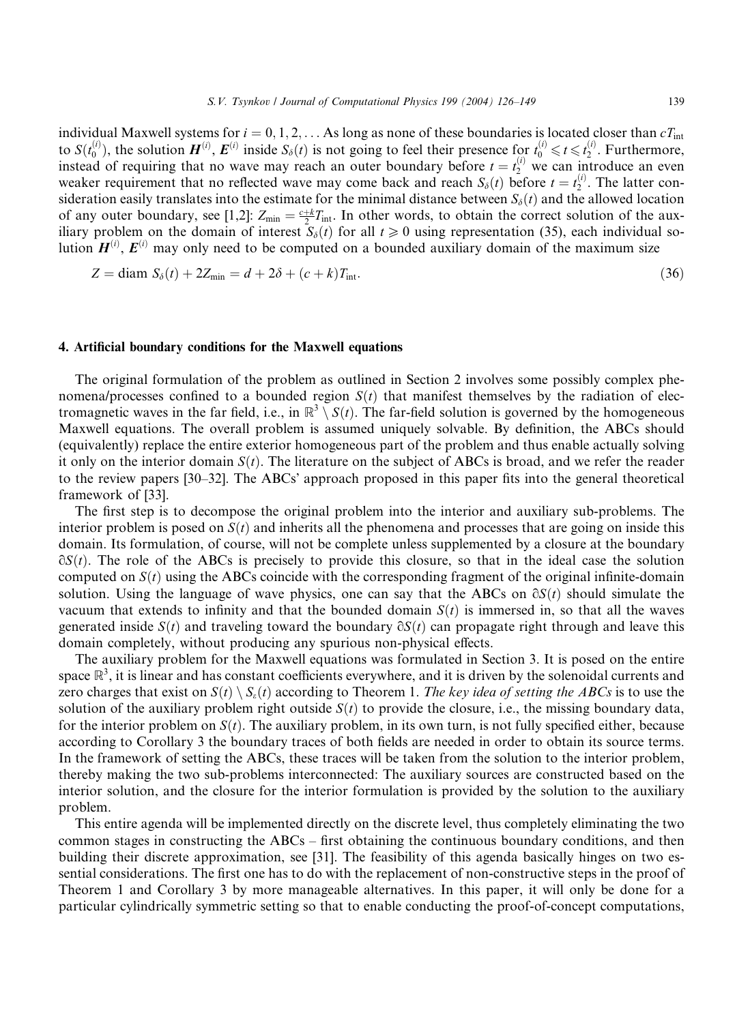individual Maxwell systems for  $i = 0, 1, 2, \ldots$  As long as none of these boundaries is located closer than  $cT_{\text{int}}$ to  $S(t_0^{(i)})$ , the solution  $H^{(i)}$ ,  $E^{(i)}$  inside  $S_\delta(t)$  is not going to feel their presence for  $t_0^{(i)} \le t \le t_2^{(i)}$ . Furthermore, instead of requiring that no wave may reach an outer boundary before  $t = t_2^{(i)}$  we can introduce an even weaker requirement that no reflected wave may come back and reach  $S_{\delta}(t)$  before  $t = t_2^{(i)}$ . The latter consideration easily translates into the estimate for the minimal distance between  $S_{\delta}(t)$  and the allowed location

of any outer boundary, see [1,2]:  $Z_{min} = \frac{c + k}{2} T_{int}$ . In other words, to obtain the correct solution of the auxiliary problem on the domain of interest  $S_\delta(t)$  for all  $t \geq 0$  using representation (35), each individual solution  $H^{(i)}$ ,  $E^{(i)}$  may only need to be computed on a bounded auxiliary domain of the maximum size

$$
Z = \text{diam } S_{\delta}(t) + 2Z_{\text{min}} = d + 2\delta + (c + k)T_{\text{int}}.\tag{36}
$$

## 4. Artificial boundary conditions for the Maxwell equations

The original formulation of the problem as outlined in Section 2 involves some possibly complex phenomena/processes confined to a bounded region  $S(t)$  that manifest themselves by the radiation of electromagnetic waves in the far field, i.e., in  $\mathbb{R}^3 \setminus S(t)$ . The far-field solution is governed by the homogeneous Maxwell equations. The overall problem is assumed uniquely solvable. By definition, the ABCs should (equivalently) replace the entire exterior homogeneous part of the problem and thus enable actually solving it only on the interior domain  $S(t)$ . The literature on the subject of ABCs is broad, and we refer the reader to the review papers [30–32]. The ABCs approach proposed in this paper fits into the general theoretical framework of [33].

The first step is to decompose the original problem into the interior and auxiliary sub-problems. The interior problem is posed on  $S(t)$  and inherits all the phenomena and processes that are going on inside this domain. Its formulation, of course, will not be complete unless supplemented by a closure at the boundary  $\partial S(t)$ . The role of the ABCs is precisely to provide this closure, so that in the ideal case the solution computed on  $S(t)$  using the ABCs coincide with the corresponding fragment of the original infinite-domain solution. Using the language of wave physics, one can say that the ABCs on  $\partial S(t)$  should simulate the vacuum that extends to infinity and that the bounded domain  $S(t)$  is immersed in, so that all the waves generated inside  $S(t)$  and traveling toward the boundary  $\partial S(t)$  can propagate right through and leave this domain completely, without producing any spurious non-physical effects.

The auxiliary problem for the Maxwell equations was formulated in Section 3. It is posed on the entire space  $\mathbb{R}^3$ , it is linear and has constant coefficients everywhere, and it is driven by the solenoidal currents and zero charges that exist on  $S(t) \setminus S_{\varepsilon}(t)$  according to Theorem 1. The key idea of setting the ABCs is to use the solution of the auxiliary problem right outside  $S(t)$  to provide the closure, i.e., the missing boundary data, for the interior problem on  $S(t)$ . The auxiliary problem, in its own turn, is not fully specified either, because according to Corollary 3 the boundary traces of both fields are needed in order to obtain its source terms. In the framework of setting the ABCs, these traces will be taken from the solution to the interior problem, thereby making the two sub-problems interconnected: The auxiliary sources are constructed based on the interior solution, and the closure for the interior formulation is provided by the solution to the auxiliary problem.

This entire agenda will be implemented directly on the discrete level, thus completely eliminating the two common stages in constructing the ABCs – first obtaining the continuous boundary conditions, and then building their discrete approximation, see [31]. The feasibility of this agenda basically hinges on two essential considerations. The first one has to do with the replacement of non-constructive steps in the proof of Theorem 1 and Corollary 3 by more manageable alternatives. In this paper, it will only be done for a particular cylindrically symmetric setting so that to enable conducting the proof-of-concept computations,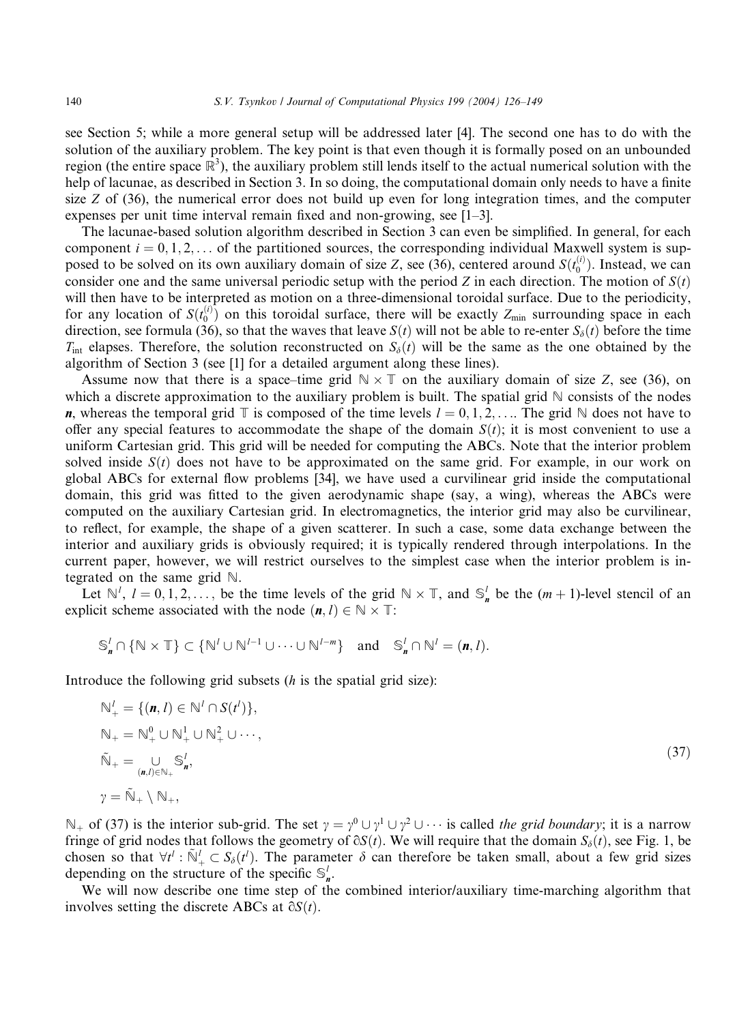see Section 5; while a more general setup will be addressed later [4]. The second one has to do with the solution of the auxiliary problem. The key point is that even though it is formally posed on an unbounded region (the entire space  $\mathbb{R}^3$ ), the auxiliary problem still lends itself to the actual numerical solution with the help of lacunae, as described in Section 3. In so doing, the computational domain only needs to have a finite size Z of (36), the numerical error does not build up even for long integration times, and the computer expenses per unit time interval remain fixed and non-growing, see [1–3].

The lacunae-based solution algorithm described in Section 3 can even be simplified. In general, for each component  $i = 0, 1, 2, \ldots$  of the partitioned sources, the corresponding individual Maxwell system is supposed to be solved on its own auxiliary domain of size Z, see (36), centered around  $S(t_0^{(i)})$ . Instead, we can consider one and the same universal periodic setup with the period Z in each direction. The motion of  $S(t)$ will then have to be interpreted as motion on a three-dimensional toroidal surface. Due to the periodicity, for any location of  $S(t_0^{(i)})$  on this toroidal surface, there will be exactly  $Z_{\text{min}}$  surrounding space in each direction, see formula (36), so that the waves that leave  $S(t)$  will not be able to re-enter  $S_\delta(t)$  before the time  $T_{\text{int}}$  elapses. Therefore, the solution reconstructed on  $S_{\delta}(t)$  will be the same as the one obtained by the algorithm of Section 3 (see [1] for a detailed argument along these lines).

Assume now that there is a space–time grid  $\mathbb{N} \times \mathbb{T}$  on the auxiliary domain of size Z, see (36), on which a discrete approximation to the auxiliary problem is built. The spatial grid  $\mathbb N$  consists of the nodes n, whereas the temporal grid  $\mathbb T$  is composed of the time levels  $l = 0, 1, 2, \dots$  The grid N does not have to offer any special features to accommodate the shape of the domain  $S(t)$ ; it is most convenient to use a uniform Cartesian grid. This grid will be needed for computing the ABCs. Note that the interior problem solved inside  $S(t)$  does not have to be approximated on the same grid. For example, in our work on global ABCs for external flow problems [34], we have used a curvilinear grid inside the computational domain, this grid was fitted to the given aerodynamic shape (say, a wing), whereas the ABCs were computed on the auxiliary Cartesian grid. In electromagnetics, the interior grid may also be curvilinear, to reflect, for example, the shape of a given scatterer. In such a case, some data exchange between the interior and auxiliary grids is obviously required; it is typically rendered through interpolations. In the current paper, however, we will restrict ourselves to the simplest case when the interior problem is integrated on the same grid N.

Let  $\mathbb{N}^l$ ,  $l = 0, 1, 2, \ldots$ , be the time levels of the grid  $\mathbb{N} \times \mathbb{T}$ , and  $\mathbb{S}_n^l$  be the  $(m + 1)$ -level stencil of an explicit scheme associated with the node  $(n, l) \in \mathbb{N} \times \mathbb{T}$ :

$$
\mathbb{S}_n^l \cap \{ \mathbb{N} \times \mathbb{T} \} \subset \{ \mathbb{N}^l \cup \mathbb{N}^{l-1} \cup \cdots \cup \mathbb{N}^{l-m} \} \text{ and } \mathbb{S}_n^l \cap \mathbb{N}^l = (n, l).
$$

Introduce the following grid subsets  $(h$  is the spatial grid size):

$$
\mathbb{N}_{+}^{l} = \{ (\mathbf{n}, l) \in \mathbb{N}^{l} \cap S(t^{l}) \},
$$
  
\n
$$
\mathbb{N}_{+} = \mathbb{N}_{+}^{0} \cup \mathbb{N}_{+}^{1} \cup \mathbb{N}_{+}^{2} \cup \cdots,
$$
  
\n
$$
\tilde{\mathbb{N}}_{+} = \bigcup_{(\mathbf{n}, l) \in \mathbb{N}_{+}} \mathbb{S}_{\mathbf{n}}^{l},
$$
  
\n
$$
\gamma = \tilde{\mathbb{N}}_{+} \setminus \mathbb{N}_{+},
$$
\n(37)

 $\mathbb{N}_+$  of (37) is the interior sub-grid. The set  $\gamma = \gamma^0 \cup \gamma^1 \cup \gamma^2 \cup \cdots$  is called the grid boundary; it is a narrow fringe of grid nodes that follows the geometry of  $\partial S(t)$ . We will require that the domain  $S_\delta(t)$ , see Fig. 1, be chosen so that  $\forall t' : \tilde{\mathbb{N}}_+^l \subset S_\delta(t')$ . The parameter  $\delta$  can therefore be taken small, about a few grid sizes depending on the structure of the specific  $\mathbb{S}_n^l$ .

We will now describe one time step of the combined interior/auxiliary time-marching algorithm that involves setting the discrete ABCs at  $\partial S(t)$ .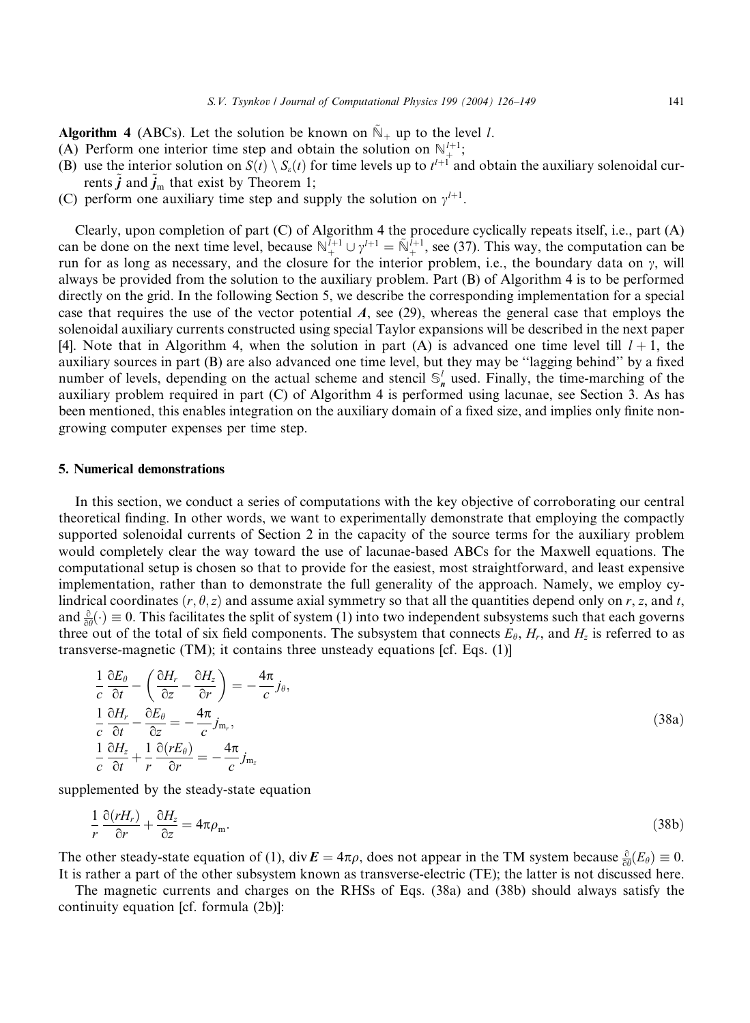**Algorithm 4** (ABCs). Let the solution be known on  $\tilde{N}_+$  up to the level l.

- (A) Perform one interior time step and obtain the solution on  $\mathbb{N}^{l+1}_{+}$ ;
- (B) use the interior solution on  $S(t) \setminus S_{\varepsilon}(t)$  for time levels up to  $t^{l+1}$  and obtain the auxiliary solenoidal currents  $\tilde{j}$  and  $\tilde{j}_m$  that exist by Theorem 1;
- (C) perform one auxiliary time step and supply the solution on  $\gamma^{l+1}$ .

Clearly, upon completion of part (C) of Algorithm 4 the procedure cyclically repeats itself, i.e., part (A) can be done on the next time level, because  $\mathbb{N}_{+}^{I+1} \cup \gamma^{I+1} = \tilde{\mathbb{N}}_{+}^{I+1}$ , see (37). This way, the computation can be run for as long as necessary, and the closure for the interior problem, i.e., the boundary data on  $\gamma$ , will always be provided from the solution to the auxiliary problem. Part (B) of Algorithm 4 is to be performed directly on the grid. In the following Section 5, we describe the corresponding implementation for a special case that requires the use of the vector potential  $\vec{A}$ , see (29), whereas the general case that employs the solenoidal auxiliary currents constructed using special Taylor expansions will be described in the next paper [4]. Note that in Algorithm 4, when the solution in part (A) is advanced one time level till  $l + 1$ , the auxiliary sources in part (B) are also advanced one time level, but they may be ''lagging behind'' by a fixed number of levels, depending on the actual scheme and stencil  $\mathbb{S}_n^l$  used. Finally, the time-marching of the auxiliary problem required in part (C) of Algorithm 4 is performed using lacunae, see Section 3. As has been mentioned, this enables integration on the auxiliary domain of a fixed size, and implies only finite nongrowing computer expenses per time step.

## 5. Numerical demonstrations

In this section, we conduct a series of computations with the key objective of corroborating our central theoretical finding. In other words, we want to experimentally demonstrate that employing the compactly supported solenoidal currents of Section 2 in the capacity of the source terms for the auxiliary problem would completely clear the way toward the use of lacunae-based ABCs for the Maxwell equations. The computational setup is chosen so that to provide for the easiest, most straightforward, and least expensive implementation, rather than to demonstrate the full generality of the approach. Namely, we employ cylindrical coordinates  $(r, \theta, z)$  and assume axial symmetry so that all the quantities depend only on r, z, and t, and  $\frac{\partial}{\partial \theta}(\cdot) \equiv 0$ . This facilitates the split of system (1) into two independent subsystems such that each governs three out of the total of six field components. The subsystem that connects  $E_{\theta}$ ,  $H_r$ , and  $H_z$  is referred to as transverse-magnetic (TM); it contains three unsteady equations [cf. Eqs. (1)]

$$
\frac{1}{c} \frac{\partial E_{\theta}}{\partial t} - \left(\frac{\partial H_r}{\partial z} - \frac{\partial H_z}{\partial r}\right) = -\frac{4\pi}{c} j_{\theta},
$$
\n
$$
\frac{1}{c} \frac{\partial H_r}{\partial t} - \frac{\partial E_{\theta}}{\partial z} = -\frac{4\pi}{c} j_{\text{m}_r},
$$
\n
$$
\frac{1}{c} \frac{\partial H_z}{\partial t} + \frac{1}{r} \frac{\partial (rE_{\theta})}{\partial r} = -\frac{4\pi}{c} j_{\text{m}_z}
$$
\n(38a)

supplemented by the steady-state equation

$$
\frac{1}{r}\frac{\partial (rH_r)}{\partial r} + \frac{\partial H_z}{\partial z} = 4\pi \rho_m.
$$
\n(38b)

The other steady-state equation of (1), div $\mathbf{E} = 4\pi\rho$ , does not appear in the TM system because  $\frac{\partial}{\partial \theta}(E_{\theta}) \equiv 0$ . It is rather a part of the other subsystem known as transverse-electric (TE); the latter is not discussed here.

The magnetic currents and charges on the RHSs of Eqs. (38a) and (38b) should always satisfy the continuity equation [cf. formula (2b)]: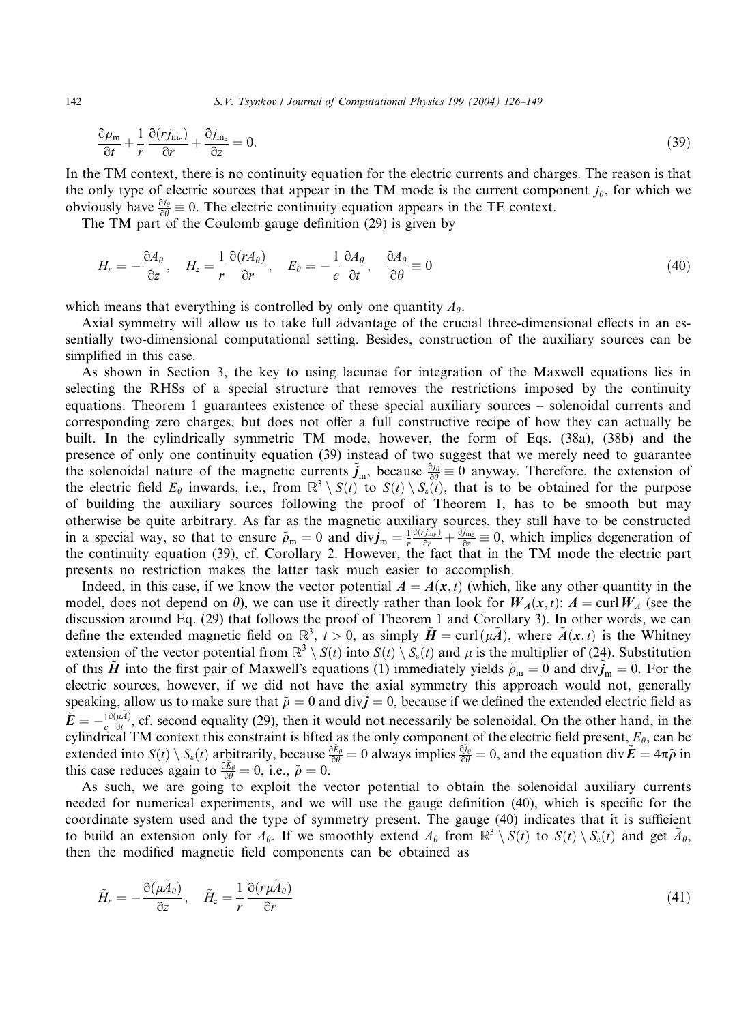142 S.V. Tsynkov / Journal of Computational Physics 199 (2004) 126–149

$$
\frac{\partial \rho_{\rm m}}{\partial t} + \frac{1}{r} \frac{\partial (r j_{\rm m_r})}{\partial r} + \frac{\partial j_{\rm m_z}}{\partial z} = 0. \tag{39}
$$

In the TM context, there is no continuity equation for the electric currents and charges. The reason is that the only type of electric sources that appear in the TM mode is the current component  $j_{\theta}$ , for which we obviously have  $\frac{\partial f_{\theta}}{\partial \theta} \equiv 0$ . The electric continuity equation appears in the TE context.

The TM part of the Coulomb gauge definition (29) is given by

$$
H_r = -\frac{\partial A_\theta}{\partial z}, \quad H_z = \frac{1}{r} \frac{\partial (r A_\theta)}{\partial r}, \quad E_\theta = -\frac{1}{c} \frac{\partial A_\theta}{\partial t}, \quad \frac{\partial A_\theta}{\partial \theta} \equiv 0 \tag{40}
$$

which means that everything is controlled by only one quantity  $A_{\theta}$ .

Axial symmetry will allow us to take full advantage of the crucial three-dimensional effects in an essentially two-dimensional computational setting. Besides, construction of the auxiliary sources can be simplified in this case.

As shown in Section 3, the key to using lacunae for integration of the Maxwell equations lies in selecting the RHSs of a special structure that removes the restrictions imposed by the continuity equations. Theorem 1 guarantees existence of these special auxiliary sources – solenoidal currents and corresponding zero charges, but does not offer a full constructive recipe of how they can actually be built. In the cylindrically symmetric TM mode, however, the form of Eqs. (38a), (38b) and the presence of only one continuity equation (39) instead of two suggest that we merely need to guarantee the solenoidal nature of the magnetic currents  $\tilde{j}_m$ , because  $\frac{\partial f_\theta}{\partial \theta} \equiv 0$  anyway. Therefore, the extension of the electric field  $E_\theta$  inwards, i.e., from  $\mathbb{R}^3 \setminus S(t)$  to  $S(t) \setminus S_\epsilon(t)$ , that is to be obtained for the purpose of building the auxiliary sources following the proof of Theorem 1, has to be smooth but may otherwise be quite arbitrary. As far as the magnetic auxiliary sources, they still have to be constructed in a special way, so that to ensure  $\tilde{\rho}_{m} = 0$  and  $div\tilde{J}_{m} = \frac{1}{r} \frac{\partial (r \tilde{j}_{m r})}{\partial r} + \frac{\partial \tilde{j}_{m z}}{\partial z} \equiv 0$ , which implies degeneration of the continuity equation (39), cf. Corollary 2. However, the fact that in the TM mode the electric part presents no restriction makes the latter task much easier to accomplish.

Indeed, in this case, if we know the vector potential  $A = A(x, t)$  (which, like any other quantity in the model, does not depend on  $\theta$ ), we can use it directly rather than look for  $W_A(x, t)$ :  $A = \text{curl } W_A$  (see the discussion around Eq. (29) that follows the proof of Theorem 1 and Corollary 3). In other words, we can define the extended magnetic field on  $\mathbb{R}^3$ ,  $t > 0$ , as simply  $\tilde{H} = \text{curl}(\mu \tilde{A})$ , where  $\tilde{A}(x, t)$  is the Whitney extension of the vector potential from  $\mathbb{R}^3 \setminus S(t)$  into  $S(t) \setminus S_{\varepsilon}(t)$  and  $\mu$  is the multiplier of (24). Substitution of this  $\hat{H}$  into the first pair of Maxwell's equations (1) immediately yields  $\tilde{\rho}_{m} = 0$  and div $j_{m} = 0$ . For the electric sources, however, if we did not have the axial symmetry this approach would not, generally speaking, allow us to make sure that  $\tilde{\rho} = 0$  and div $\vec{j} = 0$ , because if we defined the extended electric field as  $\tilde{E} = -\frac{1}{c} \frac{\partial (\mu \tilde{A})}{\partial t}$ , cf. second equality (29), then it would not necessarily be solenoidal. On the other hand, in the cylindrical TM context this constraint is lifted as the only component of the electric field present,  $E_{\theta}$ , can be extended into  $S(t) \setminus S_{\varepsilon}(t)$  arbitrarily, because  $\frac{\partial \tilde{E}_{\theta}}{\partial \theta} = 0$  always implies  $\frac{\partial \tilde{J}_{\theta}}{\partial \theta} = 0$ , and the equation div  $\tilde{E} = 4\pi\tilde{\rho}$  in this case reduces again to  $\frac{\partial \tilde{E}_{\theta}}{\partial \theta} = 0$ , i.e.,  $\tilde{\rho} = 0$ .

As such, we are going to exploit the vector potential to obtain the solenoidal auxiliary currents needed for numerical experiments, and we will use the gauge definition (40), which is specific for the coordinate system used and the type of symmetry present. The gauge (40) indicates that it is sufficient to build an extension only for  $A_\theta$ . If we smoothly extend  $A_\theta$  from  $\mathbb{R}^3 \setminus S(t)$  to  $S(t) \setminus S_\epsilon(t)$  and get  $A_\theta$ , then the modified magnetic field components can be obtained as

$$
\tilde{H}_r = -\frac{\partial(\mu \tilde{A}_\theta)}{\partial z}, \quad \tilde{H}_z = \frac{1}{r} \frac{\partial(r\mu \tilde{A}_\theta)}{\partial r}
$$
\n
$$
\tag{41}
$$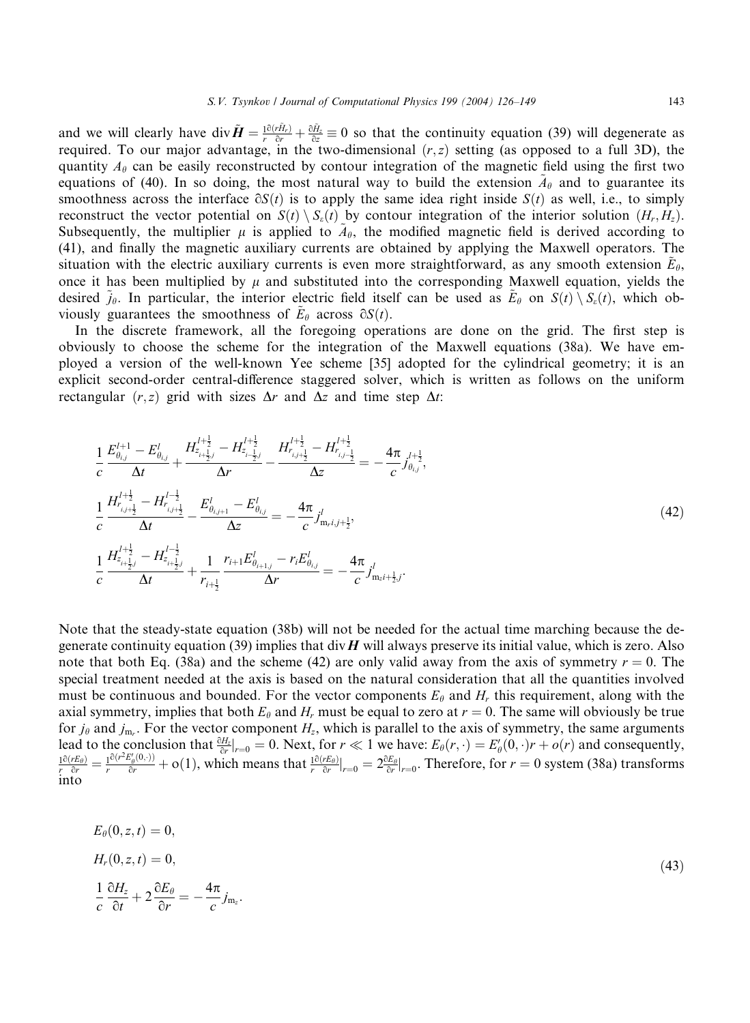and we will clearly have div  $\tilde{H} = \frac{1}{r} \frac{\partial (r\tilde{H}_r)}{\partial r} + \frac{\partial \tilde{H}_z}{\partial z} \equiv 0$  so that the continuity equation (39) will degenerate as required. To our major advantage, in the two-dimensional  $(r, z)$  setting (as opposed to a full 3D), the quantity  $A_{\theta}$  can be easily reconstructed by contour integration of the magnetic field using the first two equations of (40). In so doing, the most natural way to build the extension  $\tilde{A}_{\theta}$  and to guarantee its smoothness across the interface  $\partial S(t)$  is to apply the same idea right inside  $S(t)$  as well, i.e., to simply reconstruct the vector potential on  $S(t) \setminus S_{\varepsilon}(t)$  by contour integration of the interior solution  $(H_r, H_z)$ . Subsequently, the multiplier  $\mu$  is applied to  $A_{\theta}$ , the modified magnetic field is derived according to (41), and finally the magnetic auxiliary currents are obtained by applying the Maxwell operators. The situation with the electric auxiliary currents is even more straightforward, as any smooth extension  $E_{\theta}$ , once it has been multiplied by  $\mu$  and substituted into the corresponding Maxwell equation, yields the desired  $j_\theta$ . In particular, the interior electric field itself can be used as  $E_\theta$  on  $S(t) \setminus S_\varepsilon(t)$ , which obviously guarantees the smoothness of  $E_{\theta}$  across  $\partial S(t)$ .

In the discrete framework, all the foregoing operations are done on the grid. The first step is obviously to choose the scheme for the integration of the Maxwell equations (38a). We have employed a version of the well-known Yee scheme [35] adopted for the cylindrical geometry; it is an explicit second-order central-difference staggered solver, which is written as follows on the uniform rectangular  $(r, z)$  grid with sizes  $\Delta r$  and  $\Delta z$  and time step  $\Delta t$ :

$$
\frac{1}{c} \frac{E_{\theta_{i,j}}^{l+1} - E_{\theta_{i,j}}^{l}}{\Delta t} + \frac{H_{z_{i+\frac{1}{2},j}}^{l+\frac{1}{2}} - H_{z_{i-\frac{1}{2},j}}^{l+\frac{1}{2}}}{\Delta r} - \frac{H_{r_{i,j+\frac{1}{2}}}^{l+\frac{1}{2}} - H_{r_{i,j-\frac{1}{2}}}^{l+\frac{1}{2}}}{\Delta z} = -\frac{4\pi}{c} j_{\theta_{i,j}}^{l+\frac{1}{2}},
$$
\n
$$
\frac{1}{c} \frac{H_{r_{i,j+\frac{1}{2}}}^{l+\frac{1}{2}} - H_{r_{i,j+\frac{1}{2}}}^{l-\frac{1}{2}}}{\Delta t} - \frac{E_{\theta_{i,j+1}}^{l}}{\Delta z} - \frac{E_{\theta_{i,j}}^{l}}{\Delta z} = -\frac{4\pi}{c} j_{m_r i, j+\frac{1}{2}}^{l},
$$
\n
$$
\frac{1}{c} \frac{H_{z_{i+\frac{1}{2},j}}^{l+\frac{1}{2}} - H_{z_{i+\frac{1}{2},j}}^{l-\frac{1}{2}}}{\Delta t} + \frac{1}{r_{i+\frac{1}{2}}} \frac{r_{i+1} E_{\theta_{i+1,j}}^{l} - r_i E_{\theta_{i,j}}^{l}}{\Delta r} = -\frac{4\pi}{c} j_{m_z i+\frac{1}{2},j}^{l}.
$$
\n(42)

Note that the steady-state equation (38b) will not be needed for the actual time marching because the degenerate continuity equation (39) implies that div  $H$  will always preserve its initial value, which is zero. Also note that both Eq. (38a) and the scheme (42) are only valid away from the axis of symmetry  $r = 0$ . The special treatment needed at the axis is based on the natural consideration that all the quantities involved must be continuous and bounded. For the vector components  $E_{\theta}$  and  $H_r$  this requirement, along with the axial symmetry, implies that both  $E_\theta$  and  $H_r$  must be equal to zero at  $r = 0$ . The same will obviously be true for  $j_\theta$  and  $j_{m_r}$ . For the vector component  $H_z$ , which is parallel to the axis of symmetry, the same arguments lead to the conclusion that  $\frac{\partial H_z}{\partial r}|_{r=0} = 0$ . Next, for  $r \ll 1$  we have:  $E_\theta(r, \cdot) = E'_\theta(0, \cdot)r + o(r)$  and consequently,  $\frac{10(rE_\theta)}{r} = \frac{10(r^2E'_\theta(0, \cdot))}{\delta r} + o(1)$ , which means that  $\frac{10(rE_\theta)}{r} |_{r=0} = 2\frac{\partial E_\theta}{\partial r}|_{$  $\frac{\partial (r^2 E'_\theta(0,\cdot))}{\partial r} + o(1)$ , which means that  $\frac{1}{r} \frac{\partial (r E_\theta)}{\partial r}|_{r=0} = 2 \frac{\partial E_\theta}{\partial r}|_{r=0}$ . Therefore, for  $r = 0$  system (38a) transforms into

$$
E_{\theta}(0, z, t) = 0,
$$
  
\n
$$
H_r(0, z, t) = 0,
$$
  
\n
$$
\frac{1}{c} \frac{\partial H_z}{\partial t} + 2 \frac{\partial E_{\theta}}{\partial r} = -\frac{4\pi}{c} j_{m_z}.
$$
\n(43)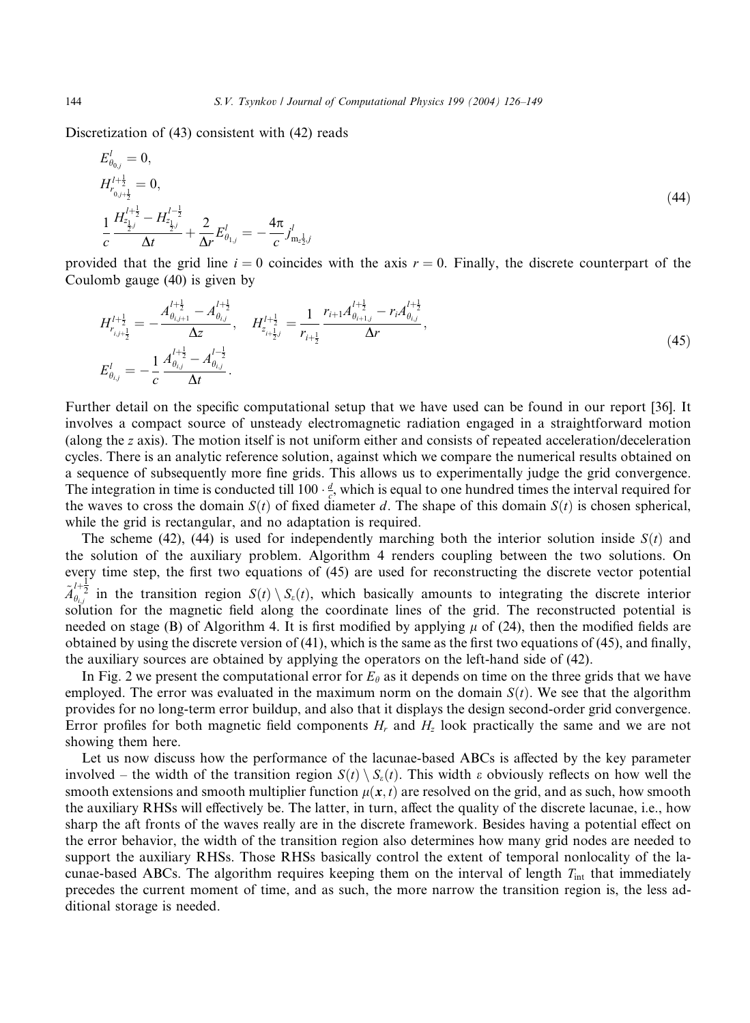Discretization of (43) consistent with (42) reads

$$
E_{\theta_{0,j}}^l = 0,
$$
  
\n
$$
H_{r_{0,j+\frac{1}{2}}}^{l+\frac{1}{2}} = 0,
$$
  
\n
$$
\frac{1}{c} \frac{H_{z_{\frac{1}{2},j}}^{l+\frac{1}{2}} - H_{z_{\frac{1}{2},j}}^{l-\frac{1}{2}}}{\Delta t} + \frac{2}{\Delta r} E_{\theta_{1,j}}^l = -\frac{4\pi}{c} j_{m_z \frac{1}{2},j}^l
$$
\n(44)

provided that the grid line  $i = 0$  coincides with the axis  $r = 0$ . Finally, the discrete counterpart of the Coulomb gauge (40) is given by

$$
H_{r_{i,j+\frac{1}{2}}}^{l+\frac{1}{2}} = -\frac{A_{\theta_{i,j+1}}^{l+\frac{1}{2}} - A_{\theta_{i,j}}^{l+\frac{1}{2}}}{\Delta z}, \quad H_{z_{i+\frac{1}{2},j}}^{l+\frac{1}{2}} = \frac{1}{r_{i+\frac{1}{2}}} \frac{r_{i+1} A_{\theta_{i+1,j}}^{l+\frac{1}{2}} - r_i A_{\theta_{i,j}}^{l+\frac{1}{2}}}{\Delta r},
$$
\n
$$
E_{\theta_{i,j}}^{l} = -\frac{1}{c} \frac{A_{\theta_{i,j}}^{l+\frac{1}{2}} - A_{\theta_{i,j}}^{l-\frac{1}{2}}}{\Delta t}.
$$
\n(45)

Further detail on the specific computational setup that we have used can be found in our report [36]. It involves a compact source of unsteady electromagnetic radiation engaged in a straightforward motion (along the z axis). The motion itself is not uniform either and consists of repeated acceleration/deceleration cycles. There is an analytic reference solution, against which we compare the numerical results obtained on a sequence of subsequently more fine grids. This allows us to experimentally judge the grid convergence. The integration in time is conducted till  $100 \cdot \frac{d}{c}$ , which is equal to one hundred times the interval required for the waves to cross the domain  $S(t)$  of fixed diameter d. The shape of this domain  $S(t)$  is chosen spherical, while the grid is rectangular, and no adaptation is required.

The scheme (42), (44) is used for independently marching both the interior solution inside  $S(t)$  and the solution of the auxiliary problem. Algorithm 4 renders coupling between the two solutions. On every time step, the first two equations of (45) are used for reconstructing the discrete vector potential  $\tilde{A}_{\theta_{i,j}}^{l+\frac{1}{2}}$  in the transition region  $S(t)\setminus S_{\varepsilon}(t)$ , which basically amounts to integrating the discrete interior solution for the magnetic field along the coordinate lines of the grid. The reconstructed potential is needed on stage (B) of Algorithm 4. It is first modified by applying  $\mu$  of (24), then the modified fields are obtained by using the discrete version of (41), which is the same as the first two equations of (45), and finally, the auxiliary sources are obtained by applying the operators on the left-hand side of (42).

In Fig. 2 we present the computational error for  $E_\theta$  as it depends on time on the three grids that we have employed. The error was evaluated in the maximum norm on the domain  $S(t)$ . We see that the algorithm provides for no long-term error buildup, and also that it displays the design second-order grid convergence. Error profiles for both magnetic field components  $H_r$  and  $H_z$  look practically the same and we are not showing them here.

Let us now discuss how the performance of the lacunae-based ABCs is affected by the key parameter involved – the width of the transition region  $S(t) \ S_{\varepsilon}(t)$ . This width  $\varepsilon$  obviously reflects on how well the smooth extensions and smooth multiplier function  $\mu(x, t)$  are resolved on the grid, and as such, how smooth the auxiliary RHSs will effectively be. The latter, in turn, affect the quality of the discrete lacunae, i.e., how sharp the aft fronts of the waves really are in the discrete framework. Besides having a potential effect on the error behavior, the width of the transition region also determines how many grid nodes are needed to support the auxiliary RHSs. Those RHSs basically control the extent of temporal nonlocality of the lacunae-based ABCs. The algorithm requires keeping them on the interval of length  $T_{\text{int}}$  that immediately precedes the current moment of time, and as such, the more narrow the transition region is, the less additional storage is needed.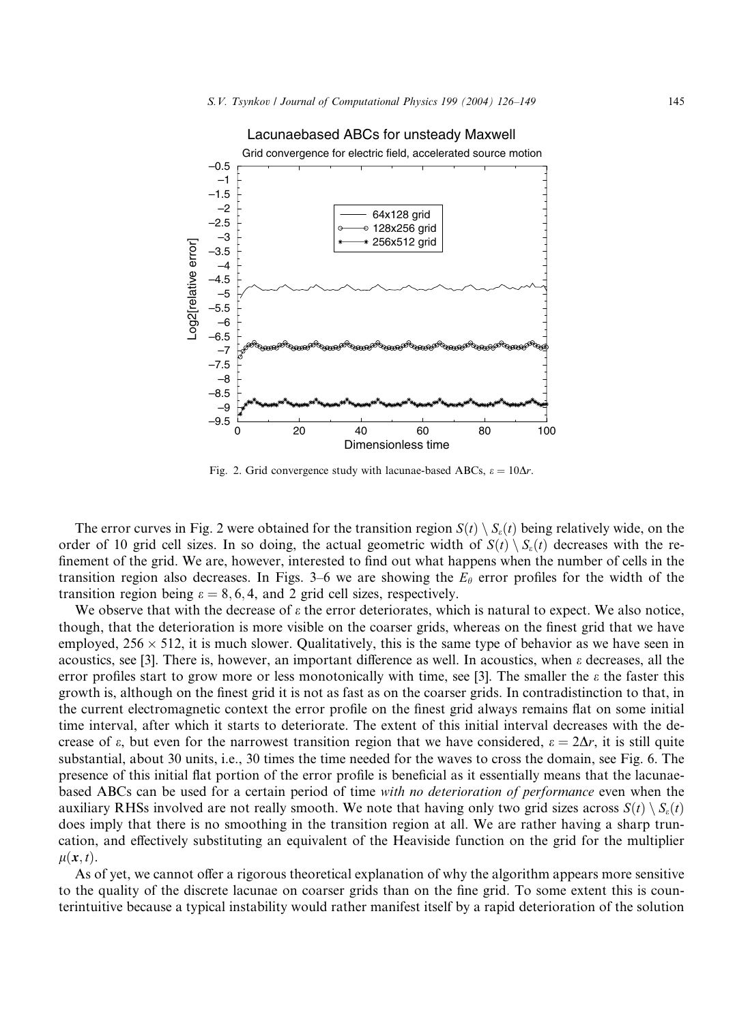

Fig. 2. Grid convergence study with lacunae-based ABCs,  $\varepsilon = 10\Delta r$ .

The error curves in Fig. 2 were obtained for the transition region  $S(t) \setminus S_{\varepsilon}(t)$  being relatively wide, on the order of 10 grid cell sizes. In so doing, the actual geometric width of  $S(t) \ S_{\varepsilon}(t)$  decreases with the refinement of the grid. We are, however, interested to find out what happens when the number of cells in the transition region also decreases. In Figs. 3–6 we are showing the  $E_\theta$  error profiles for the width of the transition region being  $\varepsilon = 8, 6, 4$ , and 2 grid cell sizes, respectively.

We observe that with the decrease of  $\varepsilon$  the error deteriorates, which is natural to expect. We also notice, though, that the deterioration is more visible on the coarser grids, whereas on the finest grid that we have employed,  $256 \times 512$ , it is much slower. Qualitatively, this is the same type of behavior as we have seen in acoustics, see [3]. There is, however, an important difference as well. In acoustics, when  $\varepsilon$  decreases, all the error profiles start to grow more or less monotonically with time, see [3]. The smaller the  $\varepsilon$  the faster this growth is, although on the finest grid it is not as fast as on the coarser grids. In contradistinction to that, in the current electromagnetic context the error profile on the finest grid always remains flat on some initial time interval, after which it starts to deteriorate. The extent of this initial interval decreases with the decrease of  $\varepsilon$ , but even for the narrowest transition region that we have considered,  $\varepsilon = 2\Delta r$ , it is still quite substantial, about 30 units, i.e., 30 times the time needed for the waves to cross the domain, see Fig. 6. The presence of this initial flat portion of the error profile is beneficial as it essentially means that the lacunaebased ABCs can be used for a certain period of time with no deterioration of performance even when the auxiliary RHSs involved are not really smooth. We note that having only two grid sizes across  $S(t) \setminus S_e(t)$ does imply that there is no smoothing in the transition region at all. We are rather having a sharp truncation, and effectively substituting an equivalent of the Heaviside function on the grid for the multiplier  $\mu(x, t)$ .

As of yet, we cannot offer a rigorous theoretical explanation of why the algorithm appears more sensitive to the quality of the discrete lacunae on coarser grids than on the fine grid. To some extent this is counterintuitive because a typical instability would rather manifest itself by a rapid deterioration of the solution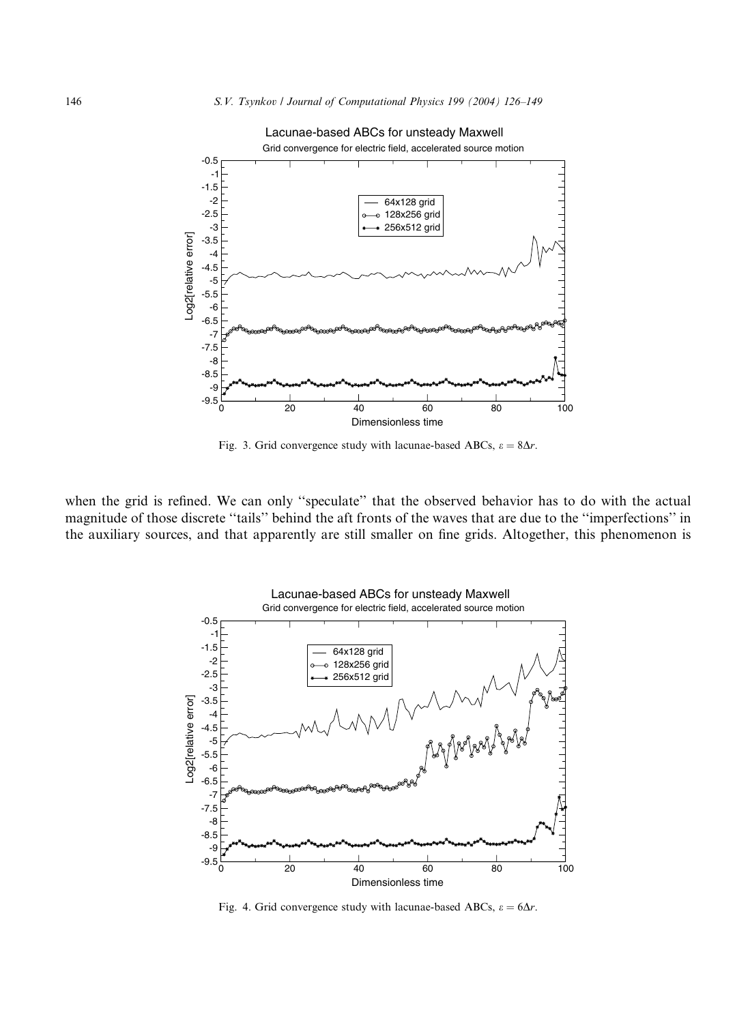

Fig. 3. Grid convergence study with lacunae-based ABCs,  $\varepsilon = 8\Delta r$ .

when the grid is refined. We can only ''speculate'' that the observed behavior has to do with the actual magnitude of those discrete ''tails'' behind the aft fronts of the waves that are due to the ''imperfections'' in the auxiliary sources, and that apparently are still smaller on fine grids. Altogether, this phenomenon is



Fig. 4. Grid convergence study with lacunae-based ABCs,  $\varepsilon = 6\Delta r$ .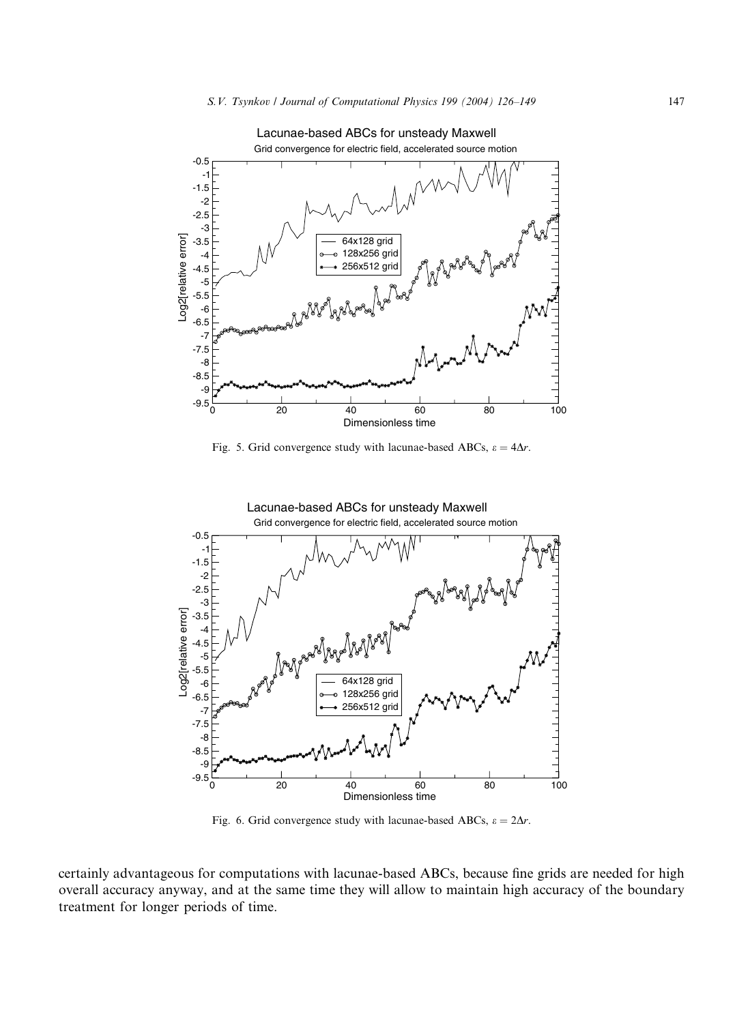

Fig. 5. Grid convergence study with lacunae-based ABCs,  $\varepsilon = 4\Delta r$ .



Fig. 6. Grid convergence study with lacunae-based ABCs,  $\varepsilon = 2\Delta r$ .

certainly advantageous for computations with lacunae-based ABCs, because fine grids are needed for high overall accuracy anyway, and at the same time they will allow to maintain high accuracy of the boundary treatment for longer periods of time.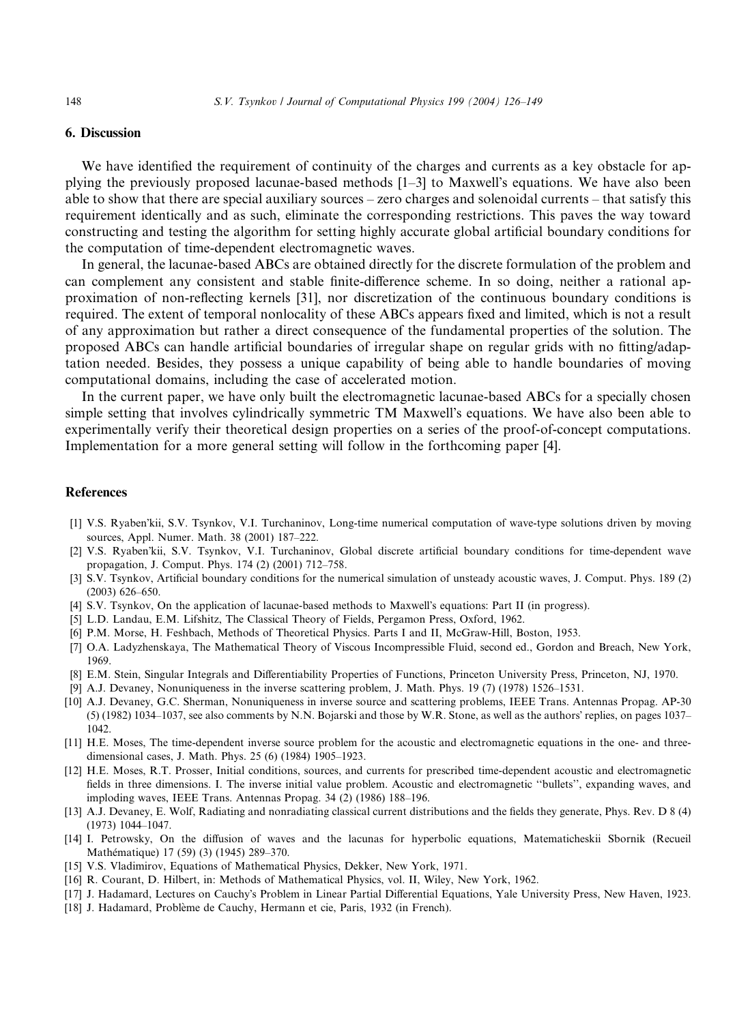# 6. Discussion

We have identified the requirement of continuity of the charges and currents as a key obstacle for applying the previously proposed lacunae-based methods [1–3] to Maxwells equations. We have also been able to show that there are special auxiliary sources – zero charges and solenoidal currents – that satisfy this requirement identically and as such, eliminate the corresponding restrictions. This paves the way toward constructing and testing the algorithm for setting highly accurate global artificial boundary conditions for the computation of time-dependent electromagnetic waves.

In general, the lacunae-based ABCs are obtained directly for the discrete formulation of the problem and can complement any consistent and stable finite-difference scheme. In so doing, neither a rational approximation of non-reflecting kernels [31], nor discretization of the continuous boundary conditions is required. The extent of temporal nonlocality of these ABCs appears fixed and limited, which is not a result of any approximation but rather a direct consequence of the fundamental properties of the solution. The proposed ABCs can handle artificial boundaries of irregular shape on regular grids with no fitting/adaptation needed. Besides, they possess a unique capability of being able to handle boundaries of moving computational domains, including the case of accelerated motion.

In the current paper, we have only built the electromagnetic lacunae-based ABCs for a specially chosen simple setting that involves cylindrically symmetric TM Maxwell's equations. We have also been able to experimentally verify their theoretical design properties on a series of the proof-of-concept computations. Implementation for a more general setting will follow in the forthcoming paper [4].

# **References**

- [1] V.S. Ryaben'kii, S.V. Tsynkov, V.I. Turchaninov, Long-time numerical computation of wave-type solutions driven by moving sources, Appl. Numer. Math. 38 (2001) 187–222.
- [2] V.S. Ryaben'kii, S.V. Tsynkov, V.I. Turchaninov, Global discrete artificial boundary conditions for time-dependent wave propagation, J. Comput. Phys. 174 (2) (2001) 712–758.
- [3] S.V. Tsynkov, Artificial boundary conditions for the numerical simulation of unsteady acoustic waves, J. Comput. Phys. 189 (2) (2003) 626–650.
- [4] S.V. Tsynkov, On the application of lacunae-based methods to Maxwell's equations: Part II (in progress).
- [5] L.D. Landau, E.M. Lifshitz, The Classical Theory of Fields, Pergamon Press, Oxford, 1962.
- [6] P.M. Morse, H. Feshbach, Methods of Theoretical Physics. Parts I and II, McGraw-Hill, Boston, 1953.
- [7] O.A. Ladyzhenskaya, The Mathematical Theory of Viscous Incompressible Fluid, second ed., Gordon and Breach, New York, 1969.
- [8] E.M. Stein, Singular Integrals and Differentiability Properties of Functions, Princeton University Press, Princeton, NJ, 1970.
- [9] A.J. Devaney, Nonuniqueness in the inverse scattering problem, J. Math. Phys. 19 (7) (1978) 1526–1531.
- [10] A.J. Devaney, G.C. Sherman, Nonuniqueness in inverse source and scattering problems, IEEE Trans. Antennas Propag. AP-30 (5) (1982) 1034–1037, see also comments by N.N. Bojarski and those by W.R. Stone, as well as the authors replies, on pages 1037– 1042.
- [11] H.E. Moses, The time-dependent inverse source problem for the acoustic and electromagnetic equations in the one- and threedimensional cases, J. Math. Phys. 25 (6) (1984) 1905–1923.
- [12] H.E. Moses, R.T. Prosser, Initial conditions, sources, and currents for prescribed time-dependent acoustic and electromagnetic fields in three dimensions. I. The inverse initial value problem. Acoustic and electromagnetic ''bullets'', expanding waves, and imploding waves, IEEE Trans. Antennas Propag. 34 (2) (1986) 188–196.
- [13] A.J. Devaney, E. Wolf, Radiating and nonradiating classical current distributions and the fields they generate, Phys. Rev. D 8 (4) (1973) 1044–1047.
- [14] I. Petrowsky, On the diffusion of waves and the lacunas for hyperbolic equations, Matematicheskii Sbornik (Recueil Mathematique) 17 (59) (3) (1945) 289–370.
- [15] V.S. Vladimirov, Equations of Mathematical Physics, Dekker, New York, 1971.
- [16] R. Courant, D. Hilbert, in: Methods of Mathematical Physics, vol. II, Wiley, New York, 1962.
- [17] J. Hadamard, Lectures on Cauchys Problem in Linear Partial Differential Equations, Yale University Press, New Haven, 1923.
- [18] J. Hadamard, Problème de Cauchy, Hermann et cie, Paris, 1932 (in French).